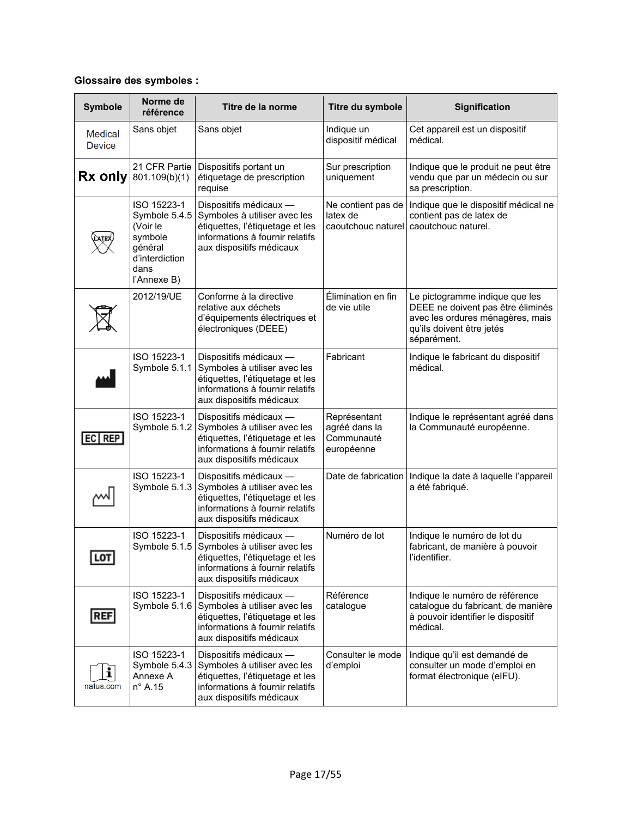#### **Glossaire des symboles :**

| <b>Symbole</b>           | Norme de<br>référence                                                                                   | Titre de la norme                                                                                                                                                      | Titre du symbole                                          | <b>Signification</b>                                                                                                                                |
|--------------------------|---------------------------------------------------------------------------------------------------------|------------------------------------------------------------------------------------------------------------------------------------------------------------------------|-----------------------------------------------------------|-----------------------------------------------------------------------------------------------------------------------------------------------------|
| Medical<br><b>Device</b> | Sans objet                                                                                              | Sans objet                                                                                                                                                             | Indique un<br>dispositif médical                          | Cet appareil est un dispositif<br>médical.                                                                                                          |
| Rx only                  | 21 CFR Partie<br>801.109(b)(1)                                                                          | Dispositifs portant un<br>étiquetage de prescription<br>requise                                                                                                        | Sur prescription<br>uniquement                            | Indique que le produit ne peut être<br>vendu que par un médecin ou sur<br>sa prescription.                                                          |
|                          | ISO 15223-1<br>Symbole 5.4.5<br>(Voir le<br>symbole<br>général<br>d'interdiction<br>dans<br>l'Annexe B) | Dispositifs médicaux -<br>Symboles à utiliser avec les<br>étiquettes, l'étiquetage et les<br>informations à fournir relatifs<br>aux dispositifs médicaux               | Ne contient pas de<br>latex de<br>caoutchouc naturel      | Indique que le dispositif médical ne<br>contient pas de latex de<br>caoutchouc naturel.                                                             |
|                          | 2012/19/UE                                                                                              | Conforme à la directive<br>relative aux déchets<br>d'équipements électriques et<br>électroniques (DEEE)                                                                | Élimination en fin<br>de vie utile                        | Le pictogramme indique que les<br>DEEE ne doivent pas être éliminés<br>avec les ordures ménagères, mais<br>qu'ils doivent être jetés<br>séparément. |
|                          | ISO 15223-1<br>Symbole 5.1.1                                                                            | Dispositifs médicaux -<br>Symboles à utiliser avec les<br>étiquettes, l'étiquetage et les<br>informations à fournir relatifs<br>aux dispositifs médicaux               | Fabricant                                                 | Indique le fabricant du dispositif<br>médical.                                                                                                      |
| $EC$ REP                 | ISO 15223-1<br>Symbole 5.1.2                                                                            | Dispositifs médicaux -<br>Symboles à utiliser avec les<br>étiquettes, l'étiquetage et les<br>informations à fournir relatifs<br>aux dispositifs médicaux               | Représentant<br>agréé dans la<br>Communauté<br>européenne | Indique le représentant agréé dans<br>la Communauté européenne.                                                                                     |
|                          | ISO 15223-1<br>Symbole 5.1.3                                                                            | Dispositifs médicaux -<br>Symboles à utiliser avec les<br>étiquettes, l'étiquetage et les<br>informations à fournir relatifs<br>aux dispositifs médicaux               |                                                           | Date de fabrication   Indique la date à laquelle l'appareil<br>a été fabriqué.                                                                      |
| <b>LOT</b>               | ISO 15223-1<br>Symbole 5.1.5                                                                            | Dispositifs médicaux -<br>Symboles à utiliser avec les<br>étiquettes, l'étiquetage et les<br>informations à fournir relatifs<br>aux dispositifs médicaux               | Numéro de lot                                             | Indique le numéro de lot du<br>fabricant, de manière à pouvoir<br>l'identifier.                                                                     |
| <b>REF</b>               | ISO 15223-1                                                                                             | Dispositifs médicaux -<br>Symbole 5.1.6 Symboles à utiliser avec les<br>étiquettes, l'étiquetage et les<br>informations à fournir relatifs<br>aux dispositifs médicaux | Référence<br>catalogue                                    | Indique le numéro de référence<br>catalogue du fabricant, de manière<br>à pouvoir identifier le dispositif<br>médical.                              |
| i<br>natus.com           | ISO 15223-1<br>Symbole 5.4.3<br>Annexe A<br>$n^{\circ}$ A.15                                            | Dispositifs médicaux -<br>Symboles à utiliser avec les<br>étiquettes, l'étiquetage et les<br>informations à fournir relatifs<br>aux dispositifs médicaux               | Consulter le mode<br>d'emploi                             | Indique qu'il est demandé de<br>consulter un mode d'emploi en<br>format électronique (eIFU).                                                        |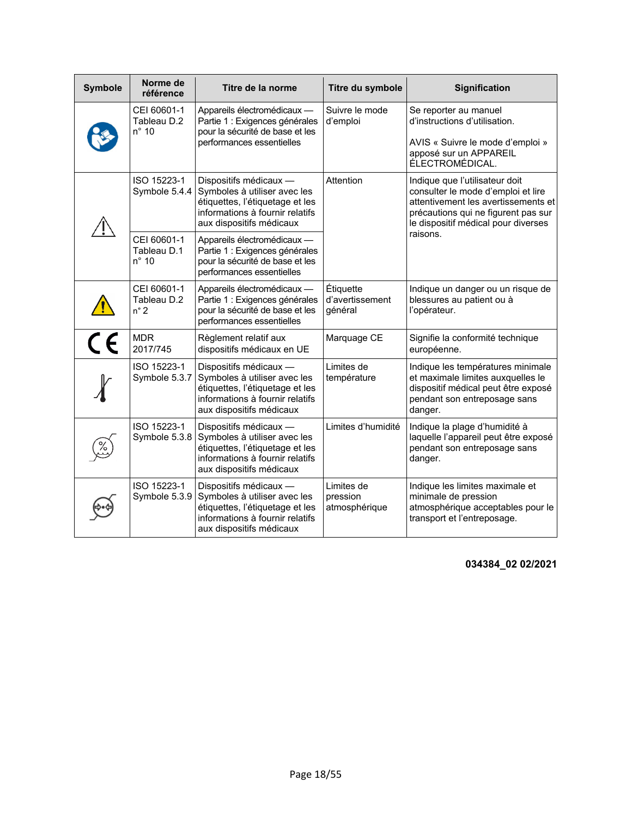| <b>Symbole</b> | Norme de<br>référence                        | Titre de la norme                                                                                                                                        | Titre du symbole                        | <b>Signification</b>                                                                                                                                                                      |
|----------------|----------------------------------------------|----------------------------------------------------------------------------------------------------------------------------------------------------------|-----------------------------------------|-------------------------------------------------------------------------------------------------------------------------------------------------------------------------------------------|
|                | CEI 60601-1<br>Tableau D.2<br>$n^{\circ}$ 10 | Appareils électromédicaux -<br>Partie 1 : Exigences générales<br>pour la sécurité de base et les<br>performances essentielles                            | Suivre le mode<br>d'emploi              | Se reporter au manuel<br>d'instructions d'utilisation.<br>AVIS « Suivre le mode d'emploi »<br>apposé sur un APPAREIL<br>ÉLECTROMÉDICAL.                                                   |
|                | ISO 15223-1<br>Symbole 5.4.4                 | Dispositifs médicaux -<br>Symboles à utiliser avec les<br>étiquettes, l'étiquetage et les<br>informations à fournir relatifs<br>aux dispositifs médicaux | Attention                               | Indique que l'utilisateur doit<br>consulter le mode d'emploi et lire<br>attentivement les avertissements et<br>précautions qui ne figurent pas sur<br>le dispositif médical pour diverses |
|                | CEI 60601-1<br>Tableau D.1<br>$n^{\circ}$ 10 | Appareils électromédicaux -<br>Partie 1 : Exigences générales<br>pour la sécurité de base et les<br>performances essentielles                            |                                         | raisons.                                                                                                                                                                                  |
|                | CEI 60601-1<br>Tableau D.2<br>$n^{\circ}$ 2  | Appareils électromédicaux -<br>Partie 1 : Exigences générales<br>pour la sécurité de base et les<br>performances essentielles                            | Étiquette<br>d'avertissement<br>général | Indique un danger ou un risque de<br>blessures au patient ou à<br>l'opérateur.                                                                                                            |
| $\overline{C}$ | <b>MDR</b><br>2017/745                       | Règlement relatif aux<br>dispositifs médicaux en UE                                                                                                      | Marquage CE                             | Signifie la conformité technique<br>européenne.                                                                                                                                           |
|                | ISO 15223-1<br>Symbole 5.3.7                 | Dispositifs médicaux -<br>Symboles à utiliser avec les<br>étiquettes, l'étiquetage et les<br>informations à fournir relatifs<br>aux dispositifs médicaux | Limites de<br>température               | Indique les températures minimale<br>et maximale limites auxquelles le<br>dispositif médical peut être exposé<br>pendant son entreposage sans<br>danger.                                  |
|                | ISO 15223-1<br>Symbole 5.3.8                 | Dispositifs médicaux -<br>Symboles à utiliser avec les<br>étiquettes, l'étiquetage et les<br>informations à fournir relatifs<br>aux dispositifs médicaux | Limites d'humidité                      | Indique la plage d'humidité à<br>laquelle l'appareil peut être exposé<br>pendant son entreposage sans<br>danger.                                                                          |
|                | ISO 15223-1<br>Symbole 5.3.9                 | Dispositifs médicaux -<br>Symboles à utiliser avec les<br>étiquettes, l'étiquetage et les<br>informations à fournir relatifs<br>aux dispositifs médicaux | Limites de<br>pression<br>atmosphérique | Indique les limites maximale et<br>minimale de pression<br>atmosphérique acceptables pour le<br>transport et l'entreposage.                                                               |

**034384\_02 02/2021**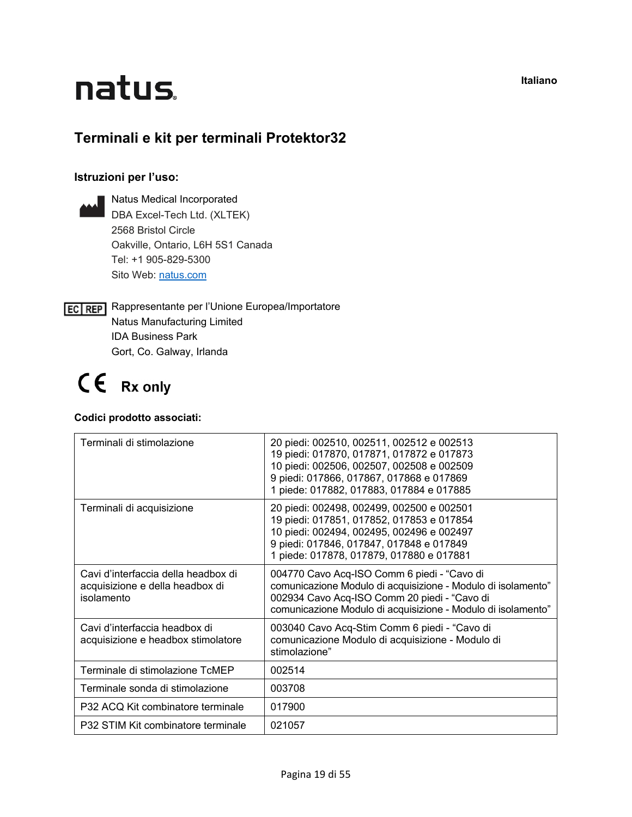## natus.

### **Terminali e kit per terminali Protektor32**

#### **Istruzioni per l'uso:**

Natus Medical Incorporated DBA Excel-Tech Ltd. (XLTEK) 2568 Bristol Circle Oakville, Ontario, L6H 5S1 Canada Tel: +1 905-829-5300 Sito Web: [natus.com](https://natus.com/)

**EC REP** Rappresentante per l'Unione Europea/Importatore Natus Manufacturing Limited IDA Business Park Gort, Co. Galway, Irlanda

### CE Rx only

#### **Codici prodotto associati:**

| Terminali di stimolazione                                                            | 20 piedi: 002510, 002511, 002512 e 002513<br>19 piedi: 017870, 017871, 017872 e 017873<br>10 piedi: 002506, 002507, 002508 e 002509<br>9 piedi: 017866, 017867, 017868 e 017869<br>1 piede: 017882, 017883, 017884 e 017885 |
|--------------------------------------------------------------------------------------|-----------------------------------------------------------------------------------------------------------------------------------------------------------------------------------------------------------------------------|
| Terminali di acquisizione                                                            | 20 piedi: 002498, 002499, 002500 e 002501<br>19 piedi: 017851, 017852, 017853 e 017854<br>10 piedi: 002494, 002495, 002496 e 002497<br>9 piedi: 017846, 017847, 017848 e 017849<br>1 piede: 017878, 017879, 017880 e 017881 |
| Cavi d'interfaccia della headbox di<br>acquisizione e della headbox di<br>isolamento | 004770 Cavo Acq-ISO Comm 6 piedi - "Cavo di<br>comunicazione Modulo di acquisizione - Modulo di isolamento"<br>002934 Cavo Acq-ISO Comm 20 piedi - "Cavo di<br>comunicazione Modulo di acquisizione - Modulo di isolamento" |
| Cavi d'interfaccia headbox di<br>acquisizione e headbox stimolatore                  | 003040 Cavo Acq-Stim Comm 6 piedi - "Cavo di<br>comunicazione Modulo di acquisizione - Modulo di<br>stimolazione"                                                                                                           |
| Terminale di stimolazione TcMEP                                                      | 002514                                                                                                                                                                                                                      |
| Terminale sonda di stimolazione                                                      | 003708                                                                                                                                                                                                                      |
| P32 ACQ Kit combinatore terminale                                                    | 017900                                                                                                                                                                                                                      |
| P32 STIM Kit combinatore terminale                                                   | 021057                                                                                                                                                                                                                      |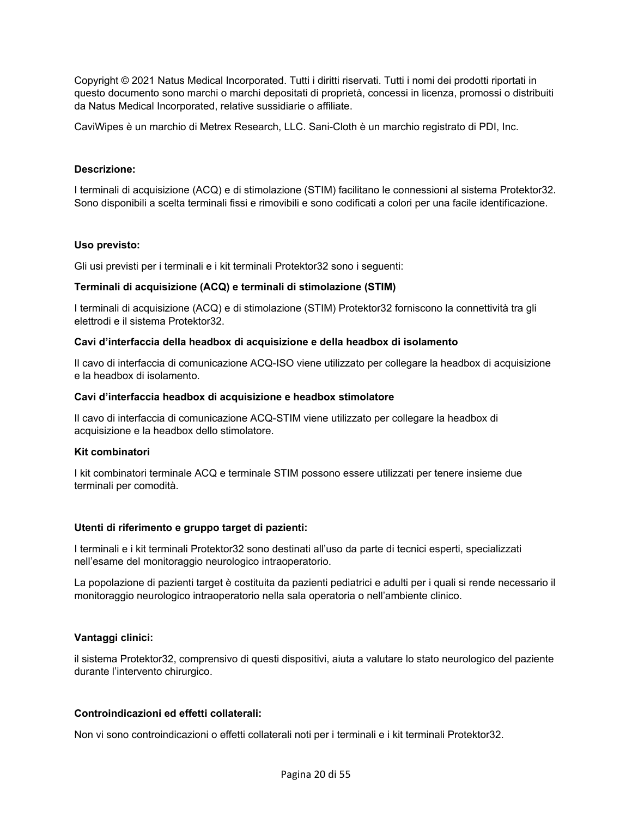Copyright © 2021 Natus Medical Incorporated. Tutti i diritti riservati. Tutti i nomi dei prodotti riportati in questo documento sono marchi o marchi depositati di proprietà, concessi in licenza, promossi o distribuiti da Natus Medical Incorporated, relative sussidiarie o affiliate.

CaviWipes è un marchio di Metrex Research, LLC. Sani-Cloth è un marchio registrato di PDI, Inc.

#### **Descrizione:**

I terminali di acquisizione (ACQ) e di stimolazione (STIM) facilitano le connessioni al sistema Protektor32. Sono disponibili a scelta terminali fissi e rimovibili e sono codificati a colori per una facile identificazione.

#### **Uso previsto:**

Gli usi previsti per i terminali e i kit terminali Protektor32 sono i seguenti:

#### **Terminali di acquisizione (ACQ) e terminali di stimolazione (STIM)**

I terminali di acquisizione (ACQ) e di stimolazione (STIM) Protektor32 forniscono la connettività tra gli elettrodi e il sistema Protektor32.

#### **Cavi d'interfaccia della headbox di acquisizione e della headbox di isolamento**

Il cavo di interfaccia di comunicazione ACQ-ISO viene utilizzato per collegare la headbox di acquisizione e la headbox di isolamento.

#### **Cavi d'interfaccia headbox di acquisizione e headbox stimolatore**

Il cavo di interfaccia di comunicazione ACQ-STIM viene utilizzato per collegare la headbox di acquisizione e la headbox dello stimolatore.

#### **Kit combinatori**

I kit combinatori terminale ACQ e terminale STIM possono essere utilizzati per tenere insieme due terminali per comodità.

#### **Utenti di riferimento e gruppo target di pazienti:**

I terminali e i kit terminali Protektor32 sono destinati all'uso da parte di tecnici esperti, specializzati nell'esame del monitoraggio neurologico intraoperatorio.

La popolazione di pazienti target è costituita da pazienti pediatrici e adulti per i quali si rende necessario il monitoraggio neurologico intraoperatorio nella sala operatoria o nell'ambiente clinico.

#### **Vantaggi clinici:**

il sistema Protektor32, comprensivo di questi dispositivi, aiuta a valutare lo stato neurologico del paziente durante l'intervento chirurgico.

#### **Controindicazioni ed effetti collaterali:**

Non vi sono controindicazioni o effetti collaterali noti per i terminali e i kit terminali Protektor32.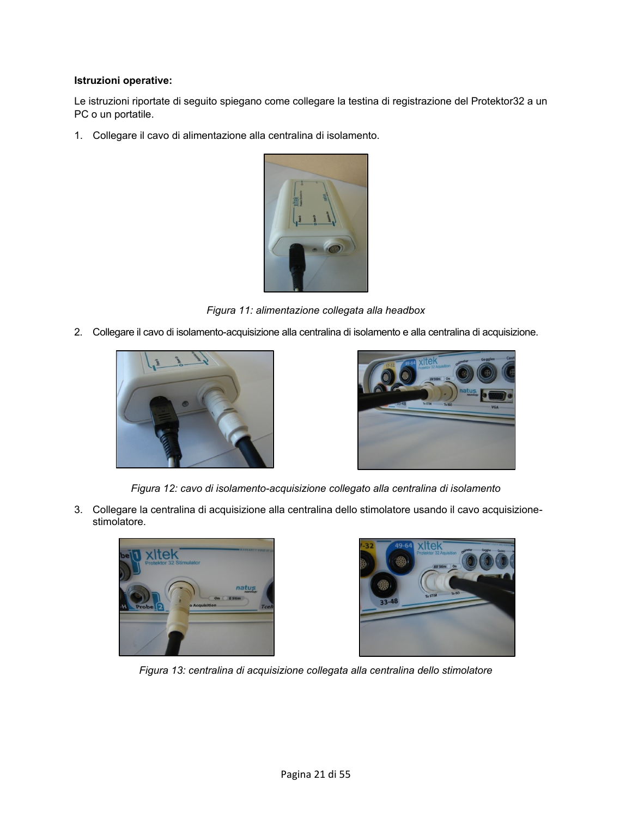#### **Istruzioni operative:**

Le istruzioni riportate di seguito spiegano come collegare la testina di registrazione del Protektor32 a un PC o un portatile.

1. Collegare il cavo di alimentazione alla centralina di isolamento.



*Figura 11: alimentazione collegata alla headbox* 

2. Collegare il cavo di isolamento-acquisizione alla centralina di isolamento e alla centralina di acquisizione.





*Figura 12: cavo di isolamento-acquisizione collegato alla centralina di isolamento*

3. Collegare la centralina di acquisizione alla centralina dello stimolatore usando il cavo acquisizionestimolatore.





*Figura 13: centralina di acquisizione collegata alla centralina dello stimolatore*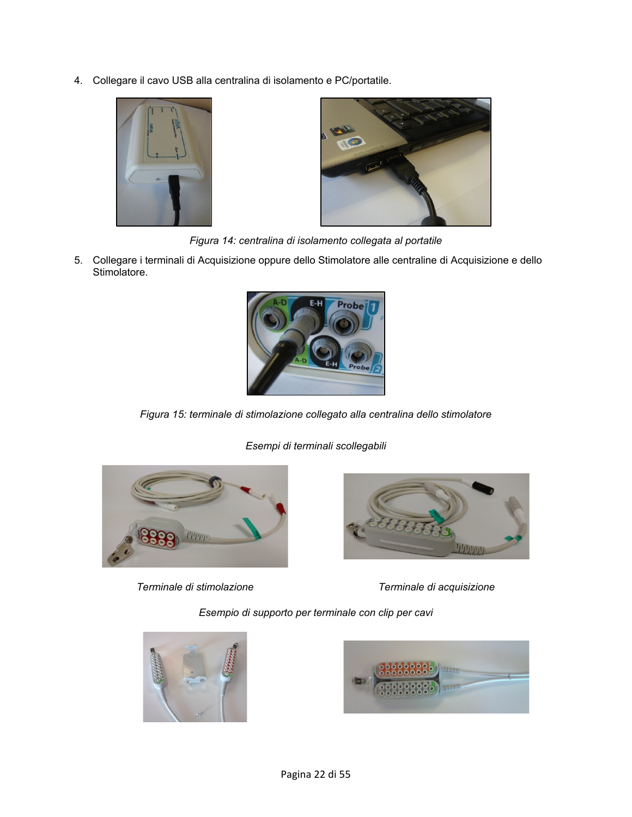4. Collegare il cavo USB alla centralina di isolamento e PC/portatile.





*Figura 14: centralina di isolamento collegata al portatile*

5. Collegare i terminali di Acquisizione oppure dello Stimolatore alle centraline di Acquisizione e dello Stimolatore.



*Figura 15: terminale di stimolazione collegato alla centralina dello stimolatore*



*Terminale di stimolazione Terminale di acquisizione*

*Esempi di terminali scollegabili*



*Esempio di supporto per terminale con clip per cavi*



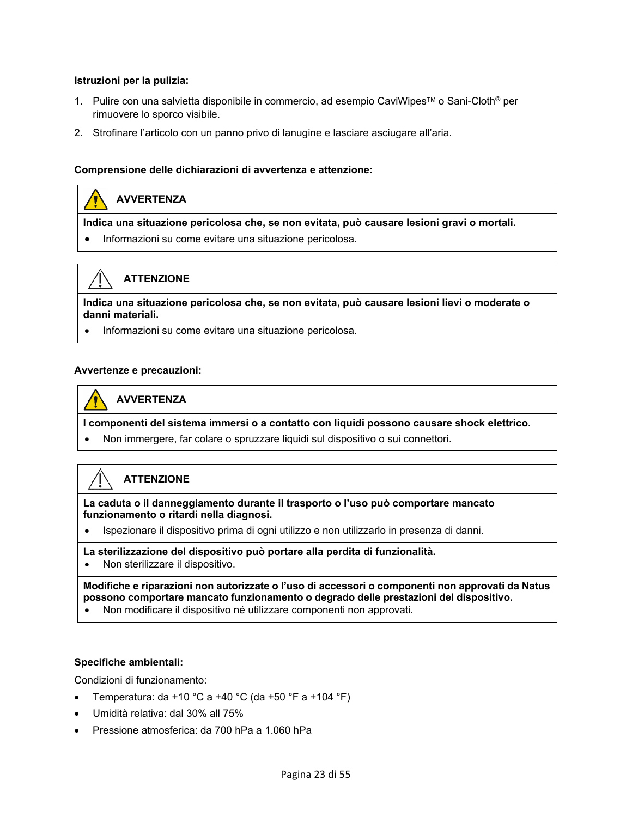#### **Istruzioni per la pulizia:**

- 1. Pulire con una salvietta disponibile in commercio, ad esempio CaviWipes™ o Sani-Cloth<sup>®</sup> per rimuovere lo sporco visibile.
- 2. Strofinare l'articolo con un panno privo di lanugine e lasciare asciugare all'aria.

#### **Comprensione delle dichiarazioni di avvertenza e attenzione:**

#### **AVVERTENZA**

**ATTENZIONE** 

**Indica una situazione pericolosa che, se non evitata, può causare lesioni gravi o mortali.** 

• Informazioni su come evitare una situazione pericolosa.

**Indica una situazione pericolosa che, se non evitata, può causare lesioni lievi o moderate o danni materiali.**

• Informazioni su come evitare una situazione pericolosa.

#### **Avvertenze e precauzioni:**

#### **AVVERTENZA**

**I componenti del sistema immersi o a contatto con liquidi possono causare shock elettrico.**

• Non immergere, far colare o spruzzare liquidi sul dispositivo o sui connettori.

#### **ATTENZIONE**

**La caduta o il danneggiamento durante il trasporto o l'uso può comportare mancato funzionamento o ritardi nella diagnosi.**

• Ispezionare il dispositivo prima di ogni utilizzo e non utilizzarlo in presenza di danni.

#### **La sterilizzazione del dispositivo può portare alla perdita di funzionalità.**

• Non sterilizzare il dispositivo.

**Modifiche e riparazioni non autorizzate o l'uso di accessori o componenti non approvati da Natus possono comportare mancato funzionamento o degrado delle prestazioni del dispositivo.**

• Non modificare il dispositivo né utilizzare componenti non approvati.

#### **Specifiche ambientali:**

Condizioni di funzionamento:

- Temperatura: da +10 °C a +40 °C (da +50 °F a +104 °F)
- Umidità relativa: dal 30% all 75%
- Pressione atmosferica: da 700 hPa a 1.060 hPa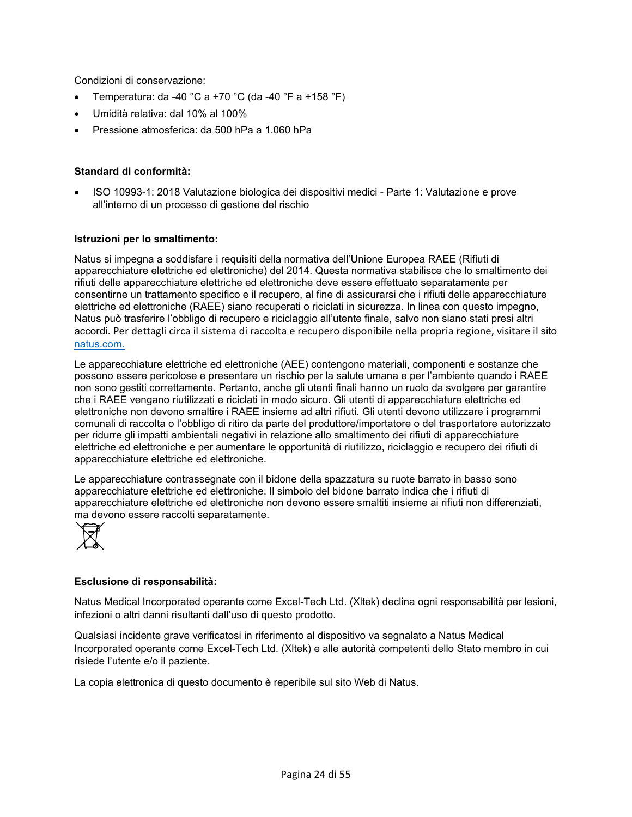Condizioni di conservazione:

- Temperatura: da -40 °C a +70 °C (da -40 °F a +158 °F)
- Umidità relativa: dal 10% al 100%
- Pressione atmosferica: da 500 hPa a 1.060 hPa

#### **Standard di conformità:**

• ISO 10993-1: 2018 Valutazione biologica dei dispositivi medici - Parte 1: Valutazione e prove all'interno di un processo di gestione del rischio

#### **Istruzioni per lo smaltimento:**

Natus si impegna a soddisfare i requisiti della normativa dell'Unione Europea RAEE (Rifiuti di apparecchiature elettriche ed elettroniche) del 2014. Questa normativa stabilisce che lo smaltimento dei rifiuti delle apparecchiature elettriche ed elettroniche deve essere effettuato separatamente per consentirne un trattamento specifico e il recupero, al fine di assicurarsi che i rifiuti delle apparecchiature elettriche ed elettroniche (RAEE) siano recuperati o riciclati in sicurezza. In linea con questo impegno, Natus può trasferire l'obbligo di recupero e riciclaggio all'utente finale, salvo non siano stati presi altri accordi. Per dettagli circa il sistema di raccolta e recupero disponibile nella propria regione, visitare il sito [natus.com.](https://natus.com/)

Le apparecchiature elettriche ed elettroniche (AEE) contengono materiali, componenti e sostanze che possono essere pericolose e presentare un rischio per la salute umana e per l'ambiente quando i RAEE non sono gestiti correttamente. Pertanto, anche gli utenti finali hanno un ruolo da svolgere per garantire che i RAEE vengano riutilizzati e riciclati in modo sicuro. Gli utenti di apparecchiature elettriche ed elettroniche non devono smaltire i RAEE insieme ad altri rifiuti. Gli utenti devono utilizzare i programmi comunali di raccolta o l'obbligo di ritiro da parte del produttore/importatore o del trasportatore autorizzato per ridurre gli impatti ambientali negativi in relazione allo smaltimento dei rifiuti di apparecchiature elettriche ed elettroniche e per aumentare le opportunità di riutilizzo, riciclaggio e recupero dei rifiuti di apparecchiature elettriche ed elettroniche.

Le apparecchiature contrassegnate con il bidone della spazzatura su ruote barrato in basso sono apparecchiature elettriche ed elettroniche. Il simbolo del bidone barrato indica che i rifiuti di apparecchiature elettriche ed elettroniche non devono essere smaltiti insieme ai rifiuti non differenziati, ma devono essere raccolti separatamente.



#### **Esclusione di responsabilità:**

Natus Medical Incorporated operante come Excel-Tech Ltd. (Xltek) declina ogni responsabilità per lesioni, infezioni o altri danni risultanti dall'uso di questo prodotto.

Qualsiasi incidente grave verificatosi in riferimento al dispositivo va segnalato a Natus Medical Incorporated operante come Excel-Tech Ltd. (Xltek) e alle autorità competenti dello Stato membro in cui risiede l'utente e/o il paziente.

La copia elettronica di questo documento è reperibile sul sito Web di Natus.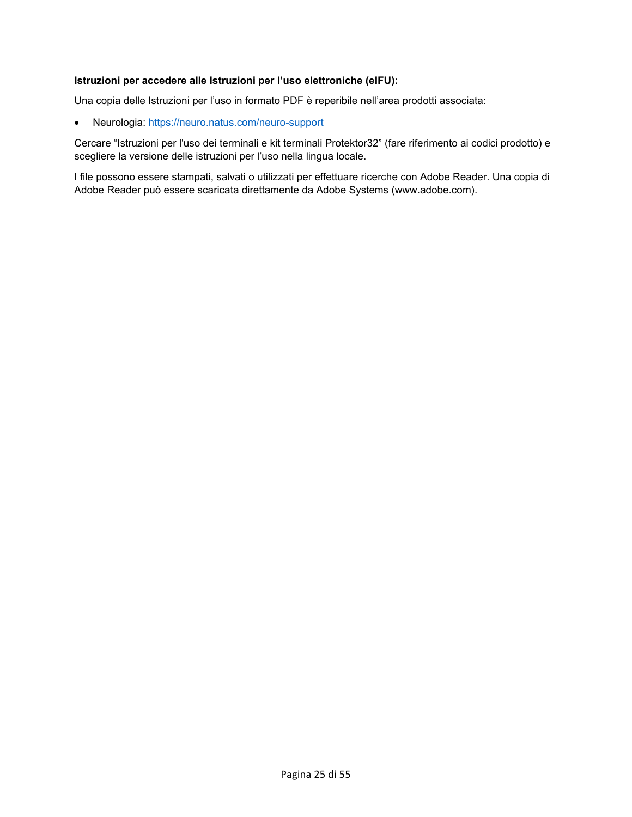#### **Istruzioni per accedere alle Istruzioni per l'uso elettroniche (eIFU):**

Una copia delle Istruzioni per l'uso in formato PDF è reperibile nell'area prodotti associata:

• Neurologia:<https://neuro.natus.com/neuro-support>

Cercare "Istruzioni per l'uso dei terminali e kit terminali Protektor32" (fare riferimento ai codici prodotto) e scegliere la versione delle istruzioni per l'uso nella lingua locale.

I file possono essere stampati, salvati o utilizzati per effettuare ricerche con Adobe Reader. Una copia di Adobe Reader può essere scaricata direttamente da Adobe Systems (www.adobe.com).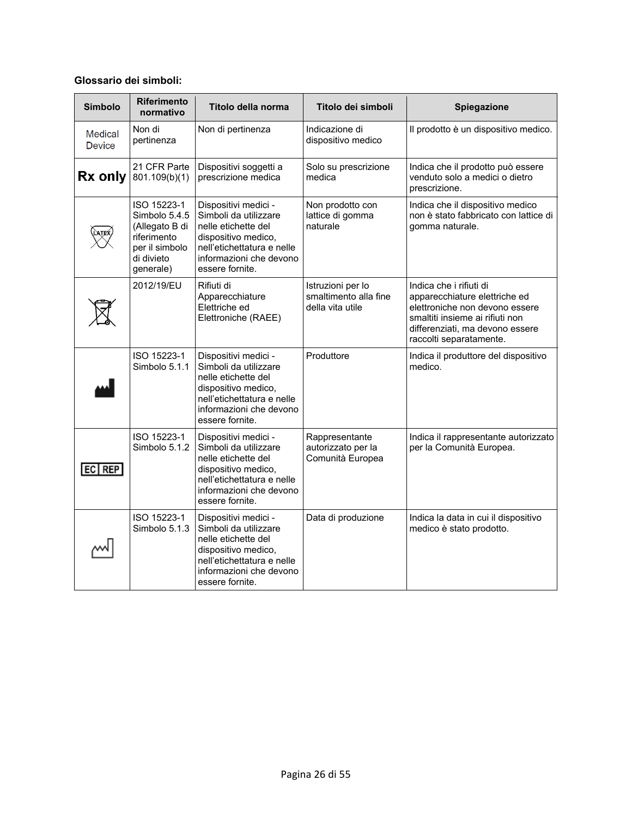#### **Glossario dei simboli:**

| <b>Simbolo</b>           | <b>Riferimento</b><br>normativo                                                                            | Titolo della norma                                                                                                                                                      | Titolo dei simboli                                             | Spiegazione                                                                                                                                                                                 |
|--------------------------|------------------------------------------------------------------------------------------------------------|-------------------------------------------------------------------------------------------------------------------------------------------------------------------------|----------------------------------------------------------------|---------------------------------------------------------------------------------------------------------------------------------------------------------------------------------------------|
| Medical<br><b>Device</b> | Non di<br>pertinenza                                                                                       | Non di pertinenza                                                                                                                                                       | Indicazione di<br>dispositivo medico                           | Il prodotto è un dispositivo medico.                                                                                                                                                        |
| Rx only                  | 21 CFR Parte<br>801.109(b)(1)                                                                              | Dispositivi soggetti a<br>prescrizione medica                                                                                                                           | Solo su prescrizione<br>medica                                 | Indica che il prodotto può essere<br>venduto solo a medici o dietro<br>prescrizione.                                                                                                        |
|                          | ISO 15223-1<br>Simbolo 5.4.5<br>(Allegato B di<br>riferimento<br>per il simbolo<br>di divieto<br>generale) | Dispositivi medici -<br>Simboli da utilizzare<br>nelle etichette del<br>dispositivo medico,<br>nell'etichettatura e nelle<br>informazioni che devono<br>essere fornite. | Non prodotto con<br>lattice di gomma<br>naturale               | Indica che il dispositivo medico<br>non è stato fabbricato con lattice di<br>gomma naturale.                                                                                                |
|                          | 2012/19/EU                                                                                                 | Rifiuti di<br>Apparecchiature<br>Elettriche ed<br>Elettroniche (RAEE)                                                                                                   | Istruzioni per lo<br>smaltimento alla fine<br>della vita utile | Indica che i rifiuti di<br>apparecchiature elettriche ed<br>elettroniche non devono essere<br>smaltiti insieme ai rifiuti non<br>differenziati, ma devono essere<br>raccolti separatamente. |
|                          | ISO 15223-1<br>Simbolo 5.1.1                                                                               | Dispositivi medici -<br>Simboli da utilizzare<br>nelle etichette del<br>dispositivo medico,<br>nell'etichettatura e nelle<br>informazioni che devono<br>essere fornite. | Produttore                                                     | Indica il produttore del dispositivo<br>medico.                                                                                                                                             |
| $EC$ REP                 | ISO 15223-1<br>Simbolo 5.1.2                                                                               | Dispositivi medici -<br>Simboli da utilizzare<br>nelle etichette del<br>dispositivo medico,<br>nell'etichettatura e nelle<br>informazioni che devono<br>essere fornite. | Rappresentante<br>autorizzato per la<br>Comunità Europea       | Indica il rappresentante autorizzato<br>per la Comunità Europea.                                                                                                                            |
|                          | ISO 15223-1<br>Simbolo 5.1.3                                                                               | Dispositivi medici -<br>Simboli da utilizzare<br>nelle etichette del<br>dispositivo medico,<br>nell'etichettatura e nelle<br>informazioni che devono<br>essere fornite. | Data di produzione                                             | Indica la data in cui il dispositivo<br>medico è stato prodotto.                                                                                                                            |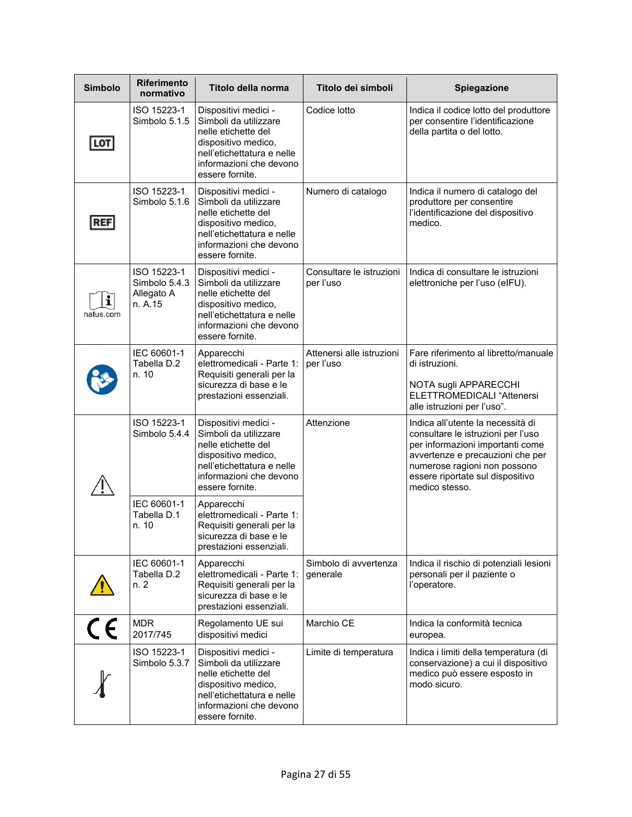| <b>Simbolo</b> | Riferimento<br>normativo                              | Titolo della norma                                                                                                                                                      | Titolo dei simboli                     | Spiegazione                                                                                                                                                                                                                           |
|----------------|-------------------------------------------------------|-------------------------------------------------------------------------------------------------------------------------------------------------------------------------|----------------------------------------|---------------------------------------------------------------------------------------------------------------------------------------------------------------------------------------------------------------------------------------|
| LOT            | ISO 15223-1<br>Simbolo 5.1.5                          | Dispositivi medici -<br>Simboli da utilizzare<br>nelle etichette del<br>dispositivo medico,<br>nell'etichettatura e nelle<br>informazioni che devono<br>essere fornite. | Codice lotto                           | Indica il codice lotto del produttore<br>per consentire l'identificazione<br>della partita o del lotto.                                                                                                                               |
| REF            | ISO 15223-1<br>Simbolo 5.1.6                          | Dispositivi medici -<br>Simboli da utilizzare<br>nelle etichette del<br>dispositivo medico,<br>nell'etichettatura e nelle<br>informazioni che devono<br>essere fornite. | Numero di catalogo                     | Indica il numero di catalogo del<br>produttore per consentire<br>l'identificazione del dispositivo<br>medico.                                                                                                                         |
| i<br>natus.com | ISO 15223-1<br>Simbolo 5.4.3<br>Allegato A<br>n. A.15 | Dispositivi medici -<br>Simboli da utilizzare<br>nelle etichette del<br>dispositivo medico,<br>nell'etichettatura e nelle<br>informazioni che devono<br>essere fornite. | Consultare le istruzioni<br>per l'uso  | Indica di consultare le istruzioni<br>elettroniche per l'uso (eIFU).                                                                                                                                                                  |
|                | IEC 60601-1<br>Tabella D.2<br>n. 10                   | Apparecchi<br>elettromedicali - Parte 1:<br>Requisiti generali per la<br>sicurezza di base e le<br>prestazioni essenziali.                                              | Attenersi alle istruzioni<br>per l'uso | Fare riferimento al libretto/manuale<br>di istruzioni.<br>NOTA sugli APPARECCHI<br><b>ELETTROMEDICALI "Attenersi</b><br>alle istruzioni per l'uso".                                                                                   |
|                | ISO 15223-1<br>Simbolo 5.4.4                          | Dispositivi medici -<br>Simboli da utilizzare<br>nelle etichette del<br>dispositivo medico,<br>nell'etichettatura e nelle<br>informazioni che devono<br>essere fornite. | Attenzione                             | Indica all'utente la necessità di<br>consultare le istruzioni per l'uso<br>per informazioni importanti come<br>avvertenze e precauzioni che per<br>numerose ragioni non possono<br>essere riportate sul dispositivo<br>medico stesso. |
|                | IEC 60601-1<br>Tabella D.1<br>n. 10                   | Apparecchi<br>elettromedicali - Parte 1:<br>Requisiti generali per la<br>sicurezza di base e le<br>prestazioni essenziali.                                              |                                        |                                                                                                                                                                                                                                       |
|                | IEC 60601-1<br>Tabella D.2<br>n. 2                    | Apparecchi<br>elettromedicali - Parte 1:<br>Requisiti generali per la<br>sicurezza di base e le<br>prestazioni essenziali.                                              | Simbolo di avvertenza<br>generale      | Indica il rischio di potenziali lesioni<br>personali per il paziente o<br>l'operatore.                                                                                                                                                |
| $\epsilon$     | <b>MDR</b><br>2017/745                                | Regolamento UE sui<br>dispositivi medici                                                                                                                                | Marchio CE                             | Indica la conformità tecnica<br>europea.                                                                                                                                                                                              |
|                | ISO 15223-1<br>Simbolo 5.3.7                          | Dispositivi medici -<br>Simboli da utilizzare<br>nelle etichette del<br>dispositivo medico,<br>nell'etichettatura e nelle<br>informazioni che devono<br>essere fornite. | Limite di temperatura                  | Indica i limiti della temperatura (di<br>conservazione) a cui il dispositivo<br>medico può essere esposto in<br>modo sicuro.                                                                                                          |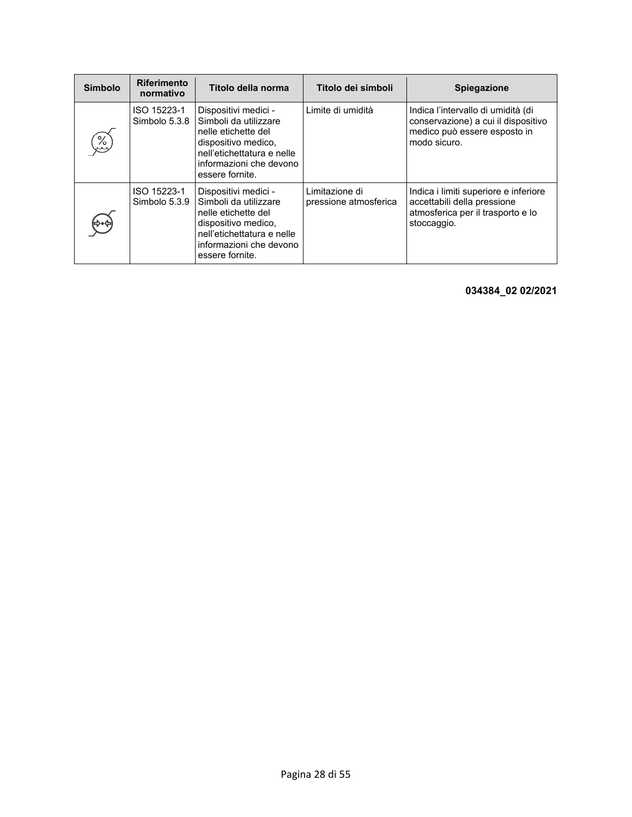| <b>Simbolo</b> | <b>Riferimento</b><br>normativo | Titolo della norma                                                                                                                                                      | Titolo dei simboli                      | Spiegazione                                                                                                               |
|----------------|---------------------------------|-------------------------------------------------------------------------------------------------------------------------------------------------------------------------|-----------------------------------------|---------------------------------------------------------------------------------------------------------------------------|
| %)<br>sv       | ISO 15223-1<br>Simbolo 5.3.8    | Dispositivi medici -<br>Simboli da utilizzare<br>nelle etichette del<br>dispositivo medico,<br>nell'etichettatura e nelle<br>informazioni che devono<br>essere fornite. | Limite di umidità                       | Indica l'intervallo di umidità (di<br>conservazione) a cui il dispositivo<br>medico può essere esposto in<br>modo sicuro. |
|                | ISO 15223-1<br>Simbolo 5.3.9    | Dispositivi medici -<br>Simboli da utilizzare<br>nelle etichette del<br>dispositivo medico,<br>nell'etichettatura e nelle<br>informazioni che devono<br>essere fornite. | Limitazione di<br>pressione atmosferica | Indica i limiti superiore e inferiore<br>accettabili della pressione<br>atmosferica per il trasporto e lo<br>stoccaggio.  |

**034384\_02 02/2021**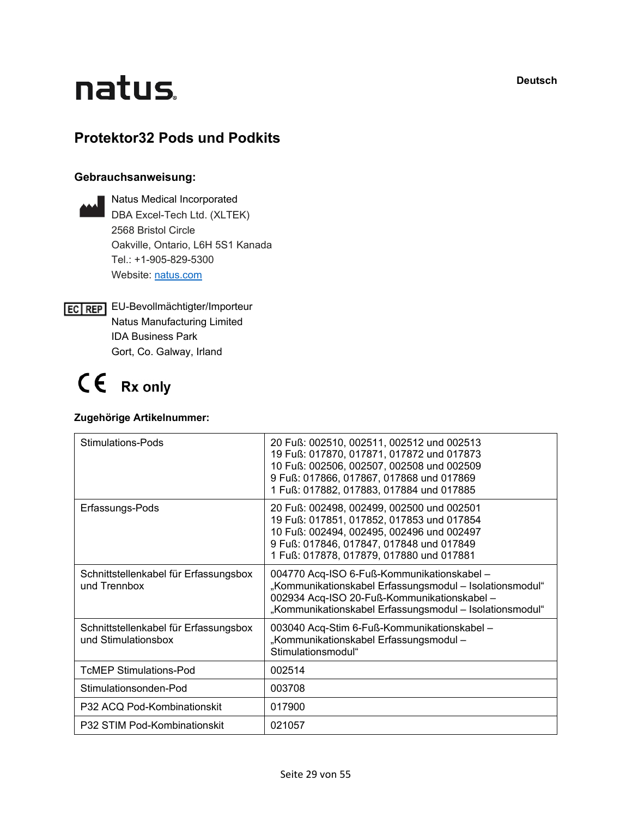**Deutsch**

# natus.

#### **Protektor32 Pods und Podkits**

#### **Gebrauchsanweisung:**

| Natus Medical Incorporated        |  |  |  |
|-----------------------------------|--|--|--|
| DBA Excel-Tech Ltd. (XLTEK)       |  |  |  |
| 2568 Bristol Circle               |  |  |  |
| Oakville, Ontario, L6H 5S1 Kanada |  |  |  |
| Tel: $+1-905-829-5300$            |  |  |  |
| Website: natus.com                |  |  |  |

EC REP EU-Bevollmächtigter/Importeur Natus Manufacturing Limited IDA Business Park Gort, Co. Galway, Irland

## $C \in Rx$  only

#### **Zugehörige Artikelnummer:**

| Stimulations-Pods                                            | 20 Fuß: 002510, 002511, 002512 und 002513<br>19 Fuß: 017870, 017871, 017872 und 017873<br>10 Fuß: 002506, 002507, 002508 und 002509<br>9 Fuß: 017866, 017867, 017868 und 017869<br>1 Fuß: 017882, 017883, 017884 und 017885 |
|--------------------------------------------------------------|-----------------------------------------------------------------------------------------------------------------------------------------------------------------------------------------------------------------------------|
| Erfassungs-Pods                                              | 20 Fuß: 002498, 002499, 002500 und 002501<br>19 Fuß: 017851, 017852, 017853 und 017854<br>10 Fuß: 002494, 002495, 002496 und 002497<br>9 Fuß: 017846, 017847, 017848 und 017849<br>1 Fuß: 017878, 017879, 017880 und 017881 |
| Schnittstellenkabel für Erfassungsbox<br>und Trennbox        | 004770 Acq-ISO 6-Fuß-Kommunikationskabel -<br>"Kommunikationskabel Erfassungsmodul - Isolationsmodul"<br>002934 Acq-ISO 20-Fuß-Kommunikationskabel-<br>"Kommunikationskabel Erfassungsmodul - Isolationsmodul"              |
| Schnittstellenkabel für Erfassungsbox<br>und Stimulationsbox | 003040 Acq-Stim 6-Fuß-Kommunikationskabel-<br>"Kommunikationskabel Erfassungsmodul –<br>Stimulationsmodul"                                                                                                                  |
| <b>TcMEP Stimulations-Pod</b>                                | 002514                                                                                                                                                                                                                      |
| Stimulationsonden-Pod                                        | 003708                                                                                                                                                                                                                      |
| P32 ACQ Pod-Kombinationskit                                  | 017900                                                                                                                                                                                                                      |
| P32 STIM Pod-Kombinationskit                                 | 021057                                                                                                                                                                                                                      |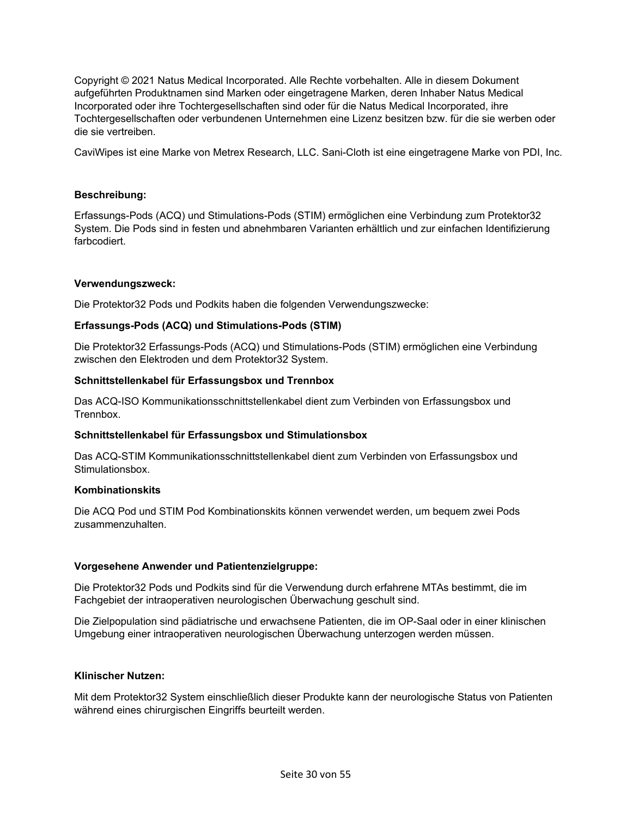Copyright © 2021 Natus Medical Incorporated. Alle Rechte vorbehalten. Alle in diesem Dokument aufgeführten Produktnamen sind Marken oder eingetragene Marken, deren Inhaber Natus Medical Incorporated oder ihre Tochtergesellschaften sind oder für die Natus Medical Incorporated, ihre Tochtergesellschaften oder verbundenen Unternehmen eine Lizenz besitzen bzw. für die sie werben oder die sie vertreiben.

CaviWipes ist eine Marke von Metrex Research, LLC. Sani-Cloth ist eine eingetragene Marke von PDI, Inc.

#### **Beschreibung:**

Erfassungs-Pods (ACQ) und Stimulations-Pods (STIM) ermöglichen eine Verbindung zum Protektor32 System. Die Pods sind in festen und abnehmbaren Varianten erhältlich und zur einfachen Identifizierung farbcodiert.

#### **Verwendungszweck:**

Die Protektor32 Pods und Podkits haben die folgenden Verwendungszwecke:

#### **Erfassungs-Pods (ACQ) und Stimulations-Pods (STIM)**

Die Protektor32 Erfassungs-Pods (ACQ) und Stimulations-Pods (STIM) ermöglichen eine Verbindung zwischen den Elektroden und dem Protektor32 System.

#### **Schnittstellenkabel für Erfassungsbox und Trennbox**

Das ACQ-ISO Kommunikationsschnittstellenkabel dient zum Verbinden von Erfassungsbox und Trennbox.

#### **Schnittstellenkabel für Erfassungsbox und Stimulationsbox**

Das ACQ-STIM Kommunikationsschnittstellenkabel dient zum Verbinden von Erfassungsbox und Stimulationsbox.

#### **Kombinationskits**

Die ACQ Pod und STIM Pod Kombinationskits können verwendet werden, um bequem zwei Pods zusammenzuhalten.

#### **Vorgesehene Anwender und Patientenzielgruppe:**

Die Protektor32 Pods und Podkits sind für die Verwendung durch erfahrene MTAs bestimmt, die im Fachgebiet der intraoperativen neurologischen Überwachung geschult sind.

Die Zielpopulation sind pädiatrische und erwachsene Patienten, die im OP-Saal oder in einer klinischen Umgebung einer intraoperativen neurologischen Überwachung unterzogen werden müssen.

#### **Klinischer Nutzen:**

Mit dem Protektor32 System einschließlich dieser Produkte kann der neurologische Status von Patienten während eines chirurgischen Eingriffs beurteilt werden.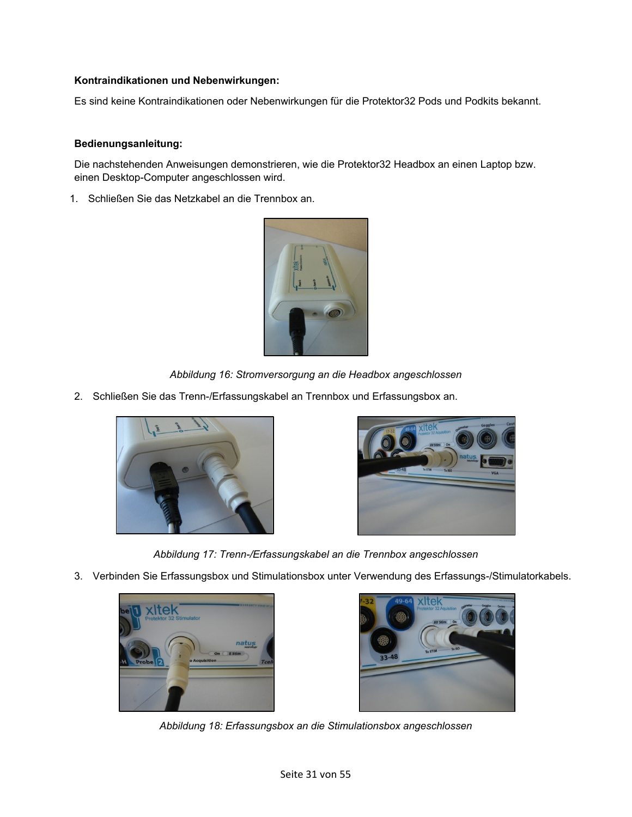#### **Kontraindikationen und Nebenwirkungen:**

Es sind keine Kontraindikationen oder Nebenwirkungen für die Protektor32 Pods und Podkits bekannt.

#### **Bedienungsanleitung:**

Die nachstehenden Anweisungen demonstrieren, wie die Protektor32 Headbox an einen Laptop bzw. einen Desktop-Computer angeschlossen wird.

1. Schließen Sie das Netzkabel an die Trennbox an.



*Abbildung 16: Stromversorgung an die Headbox angeschlossen* 

2. Schließen Sie das Trenn-/Erfassungskabel an Trennbox und Erfassungsbox an.





*Abbildung 17: Trenn-/Erfassungskabel an die Trennbox angeschlossen*

3. Verbinden Sie Erfassungsbox und Stimulationsbox unter Verwendung des Erfassungs-/Stimulatorkabels.





*Abbildung 18: Erfassungsbox an die Stimulationsbox angeschlossen*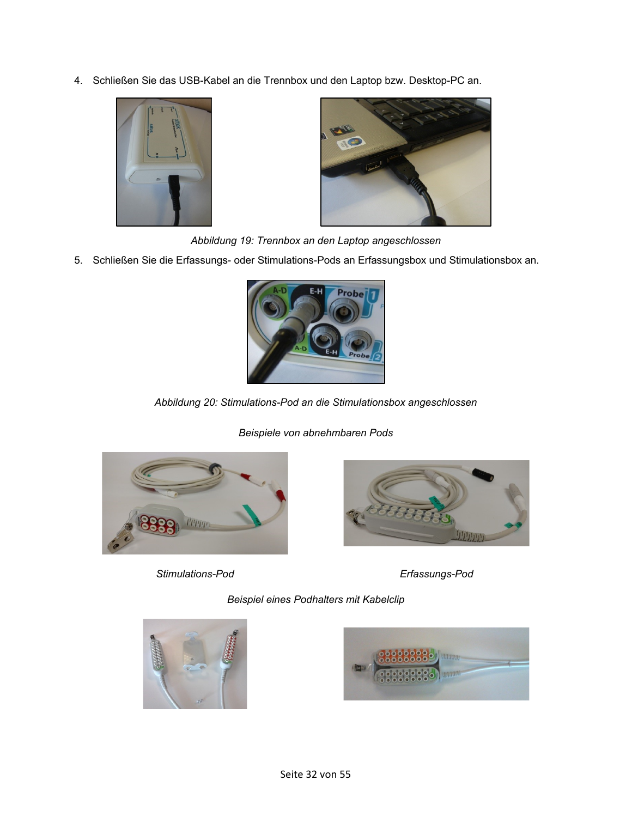4. Schließen Sie das USB-Kabel an die Trennbox und den Laptop bzw. Desktop-PC an.





*Abbildung 19: Trennbox an den Laptop angeschlossen*

5. Schließen Sie die Erfassungs- oder Stimulations-Pods an Erfassungsbox und Stimulationsbox an.



*Abbildung 20: Stimulations-Pod an die Stimulationsbox angeschlossen*

*Beispiele von abnehmbaren Pods*



*Stimulations-Pod Erfassungs-Pod*



*Beispiel eines Podhalters mit Kabelclip*



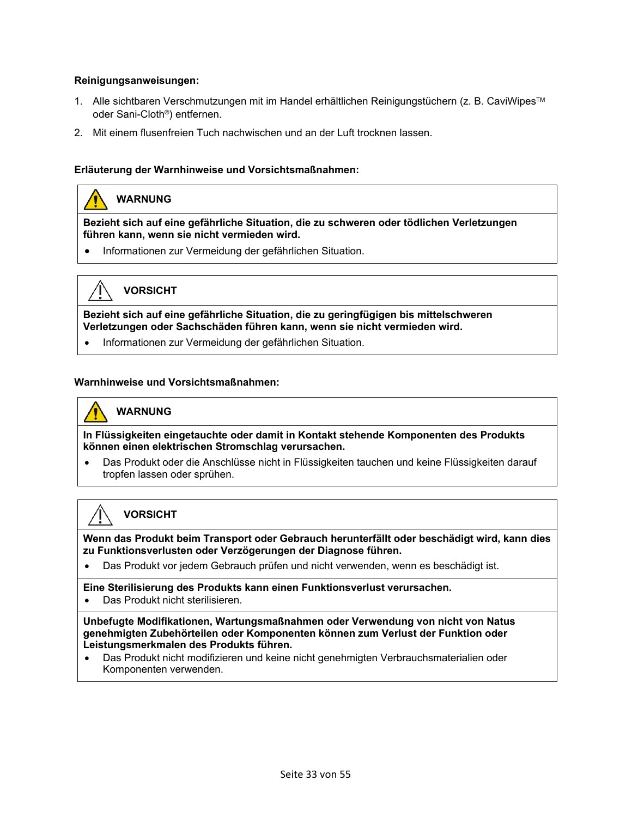#### **Reinigungsanweisungen:**

- 1. Alle sichtbaren Verschmutzungen mit im Handel erhältlichen Reinigungstüchern (z. B. CaviWipesTM oder Sani-Cloth®) entfernen.
- 2. Mit einem flusenfreien Tuch nachwischen und an der Luft trocknen lassen.

#### **Erläuterung der Warnhinweise und Vorsichtsmaßnahmen:**

#### **WARNUNG**

**Bezieht sich auf eine gefährliche Situation, die zu schweren oder tödlichen Verletzungen führen kann, wenn sie nicht vermieden wird.** 

• Informationen zur Vermeidung der gefährlichen Situation.



#### **VORSICHT**

**Bezieht sich auf eine gefährliche Situation, die zu geringfügigen bis mittelschweren Verletzungen oder Sachschäden führen kann, wenn sie nicht vermieden wird.**

• Informationen zur Vermeidung der gefährlichen Situation.

#### **Warnhinweise und Vorsichtsmaßnahmen:**

### **WARNUNG**

**In Flüssigkeiten eingetauchte oder damit in Kontakt stehende Komponenten des Produkts können einen elektrischen Stromschlag verursachen.**

• Das Produkt oder die Anschlüsse nicht in Flüssigkeiten tauchen und keine Flüssigkeiten darauf tropfen lassen oder sprühen.

#### **VORSICHT**

**Wenn das Produkt beim Transport oder Gebrauch herunterfällt oder beschädigt wird, kann dies zu Funktionsverlusten oder Verzögerungen der Diagnose führen.**

• Das Produkt vor jedem Gebrauch prüfen und nicht verwenden, wenn es beschädigt ist.

**Eine Sterilisierung des Produkts kann einen Funktionsverlust verursachen.**

• Das Produkt nicht sterilisieren.

**Unbefugte Modifikationen, Wartungsmaßnahmen oder Verwendung von nicht von Natus genehmigten Zubehörteilen oder Komponenten können zum Verlust der Funktion oder Leistungsmerkmalen des Produkts führen.**

• Das Produkt nicht modifizieren und keine nicht genehmigten Verbrauchsmaterialien oder Komponenten verwenden.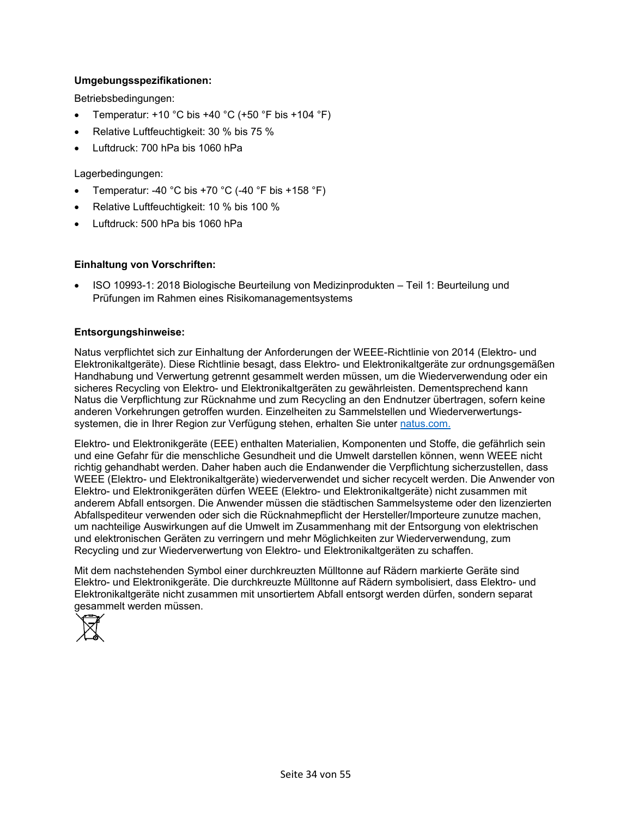#### **Umgebungsspezifikationen:**

Betriebsbedingungen:

- Temperatur:  $+10$  °C bis  $+40$  °C ( $+50$  °F bis  $+104$  °F)
- Relative Luftfeuchtigkeit: 30 % bis 75 %
- Luftdruck: 700 hPa bis 1060 hPa

Lagerbedingungen:

- Temperatur: -40 °C bis +70 °C (-40 °F bis +158 °F)
- Relative Luftfeuchtigkeit: 10 % bis 100 %
- Luftdruck: 500 hPa bis 1060 hPa

#### **Einhaltung von Vorschriften:**

• ISO 10993-1: 2018 Biologische Beurteilung von Medizinprodukten – Teil 1: Beurteilung und Prüfungen im Rahmen eines Risikomanagementsystems

#### **Entsorgungshinweise:**

Natus verpflichtet sich zur Einhaltung der Anforderungen der WEEE-Richtlinie von 2014 (Elektro- und Elektronikaltgeräte). Diese Richtlinie besagt, dass Elektro- und Elektronikaltgeräte zur ordnungsgemäßen Handhabung und Verwertung getrennt gesammelt werden müssen, um die Wiederverwendung oder ein sicheres Recycling von Elektro- und Elektronikaltgeräten zu gewährleisten. Dementsprechend kann Natus die Verpflichtung zur Rücknahme und zum Recycling an den Endnutzer übertragen, sofern keine anderen Vorkehrungen getroffen wurden. Einzelheiten zu Sammelstellen und Wiederverwertungssystemen, die in Ihrer Region zur Verfügung stehen, erhalten Sie unte[r natus.com.](https://natus.com/)

Elektro- und Elektronikgeräte (EEE) enthalten Materialien, Komponenten und Stoffe, die gefährlich sein und eine Gefahr für die menschliche Gesundheit und die Umwelt darstellen können, wenn WEEE nicht richtig gehandhabt werden. Daher haben auch die Endanwender die Verpflichtung sicherzustellen, dass WEEE (Elektro- und Elektronikaltgeräte) wiederverwendet und sicher recycelt werden. Die Anwender von Elektro- und Elektronikgeräten dürfen WEEE (Elektro- und Elektronikaltgeräte) nicht zusammen mit anderem Abfall entsorgen. Die Anwender müssen die städtischen Sammelsysteme oder den lizenzierten Abfallspediteur verwenden oder sich die Rücknahmepflicht der Hersteller/Importeure zunutze machen, um nachteilige Auswirkungen auf die Umwelt im Zusammenhang mit der Entsorgung von elektrischen und elektronischen Geräten zu verringern und mehr Möglichkeiten zur Wiederverwendung, zum Recycling und zur Wiederverwertung von Elektro- und Elektronikaltgeräten zu schaffen.

Mit dem nachstehenden Symbol einer durchkreuzten Mülltonne auf Rädern markierte Geräte sind Elektro- und Elektronikgeräte. Die durchkreuzte Mülltonne auf Rädern symbolisiert, dass Elektro- und Elektronikaltgeräte nicht zusammen mit unsortiertem Abfall entsorgt werden dürfen, sondern separat gesammelt werden müssen.

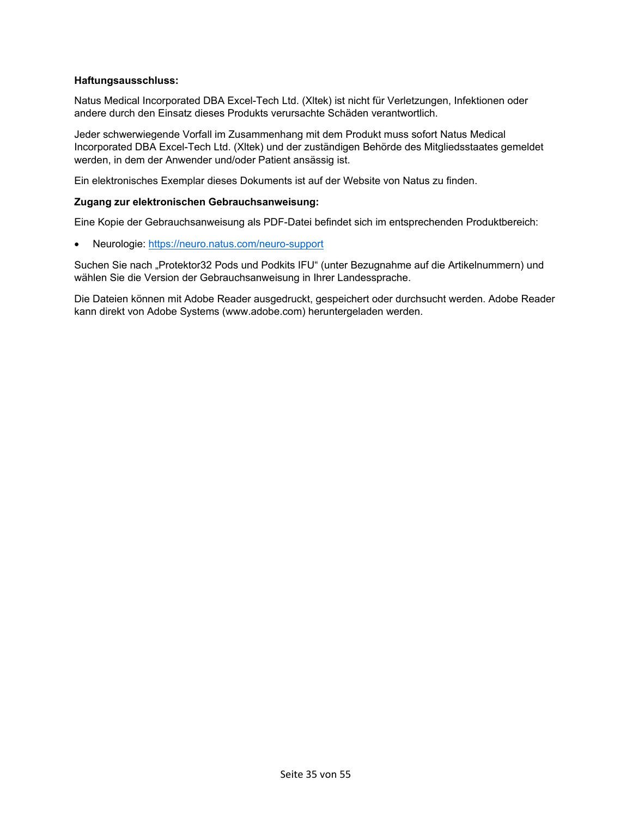#### **Haftungsausschluss:**

Natus Medical Incorporated DBA Excel-Tech Ltd. (Xltek) ist nicht für Verletzungen, Infektionen oder andere durch den Einsatz dieses Produkts verursachte Schäden verantwortlich.

Jeder schwerwiegende Vorfall im Zusammenhang mit dem Produkt muss sofort Natus Medical Incorporated DBA Excel-Tech Ltd. (Xltek) und der zuständigen Behörde des Mitgliedsstaates gemeldet werden, in dem der Anwender und/oder Patient ansässig ist.

Ein elektronisches Exemplar dieses Dokuments ist auf der Website von Natus zu finden.

#### **Zugang zur elektronischen Gebrauchsanweisung:**

Eine Kopie der Gebrauchsanweisung als PDF-Datei befindet sich im entsprechenden Produktbereich:

• Neurologie:<https://neuro.natus.com/neuro-support>

Suchen Sie nach "Protektor32 Pods und Podkits IFU" (unter Bezugnahme auf die Artikelnummern) und wählen Sie die Version der Gebrauchsanweisung in Ihrer Landessprache.

Die Dateien können mit Adobe Reader ausgedruckt, gespeichert oder durchsucht werden. Adobe Reader kann direkt von Adobe Systems (www.adobe.com) heruntergeladen werden.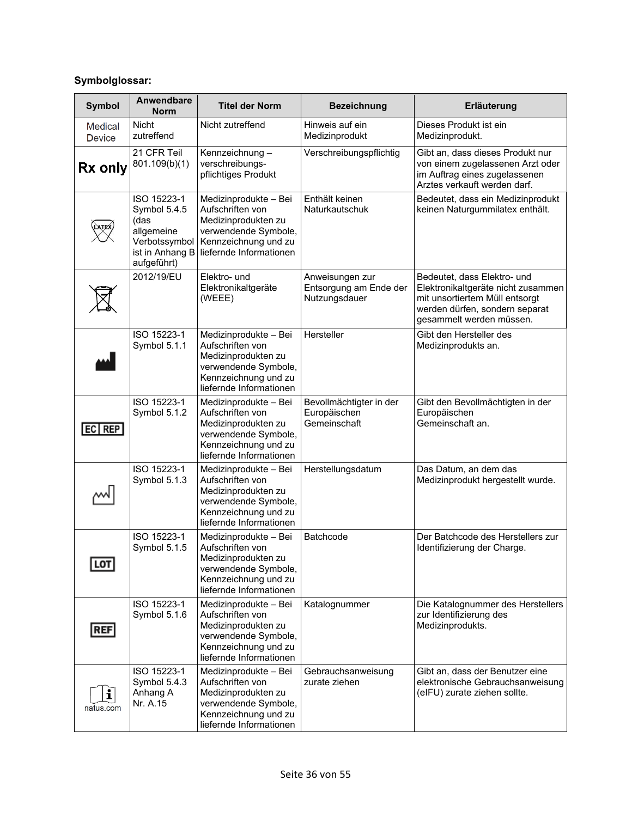#### **Symbolglossar:**

| <b>Symbol</b>            | Anwendbare<br><b>Norm</b>                                                                            | <b>Titel der Norm</b>                                                                                                                       | <b>Bezeichnung</b>                                         | Erläuterung                                                                                                                                                       |
|--------------------------|------------------------------------------------------------------------------------------------------|---------------------------------------------------------------------------------------------------------------------------------------------|------------------------------------------------------------|-------------------------------------------------------------------------------------------------------------------------------------------------------------------|
| Medical<br><b>Device</b> | <b>Nicht</b><br>zutreffend                                                                           | Nicht zutreffend                                                                                                                            | Hinweis auf ein<br>Medizinprodukt                          | Dieses Produkt ist ein<br>Medizinprodukt.                                                                                                                         |
| Rx only                  | 21 CFR Teil<br>801.109(b)(1)                                                                         | Kennzeichnung-<br>verschreibungs-<br>pflichtiges Produkt                                                                                    | Verschreibungspflichtig                                    | Gibt an, dass dieses Produkt nur<br>von einem zugelassenen Arzt oder<br>im Auftrag eines zugelassenen<br>Arztes verkauft werden darf.                             |
|                          | ISO 15223-1<br>Symbol 5.4.5<br>(das<br>allgemeine<br>Verbotssymbol<br>ist in Anhang B<br>aufgeführt) | Medizinprodukte - Bei<br>Aufschriften von<br>Medizinprodukten zu<br>verwendende Symbole,<br>Kennzeichnung und zu<br>liefernde Informationen | Enthält keinen<br>Naturkautschuk                           | Bedeutet, dass ein Medizinprodukt<br>keinen Naturgummilatex enthält.                                                                                              |
|                          | 2012/19/EU                                                                                           | Elektro- und<br>Elektronikaltgeräte<br>(WEEE)                                                                                               | Anweisungen zur<br>Entsorgung am Ende der<br>Nutzungsdauer | Bedeutet, dass Elektro- und<br>Elektronikaltgeräte nicht zusammen<br>mit unsortiertem Müll entsorgt<br>werden dürfen, sondern separat<br>gesammelt werden müssen. |
|                          | ISO 15223-1<br>Symbol 5.1.1                                                                          | Medizinprodukte - Bei<br>Aufschriften von<br>Medizinprodukten zu<br>verwendende Symbole,<br>Kennzeichnung und zu<br>liefernde Informationen | Hersteller                                                 | Gibt den Hersteller des<br>Medizinprodukts an.                                                                                                                    |
| EC REP                   | ISO 15223-1<br>Symbol 5.1.2                                                                          | Medizinprodukte - Bei<br>Aufschriften von<br>Medizinprodukten zu<br>verwendende Symbole,<br>Kennzeichnung und zu<br>liefernde Informationen | Bevollmächtigter in der<br>Europäischen<br>Gemeinschaft    | Gibt den Bevollmächtigten in der<br>Europäischen<br>Gemeinschaft an.                                                                                              |
|                          | ISO 15223-1<br>Symbol 5.1.3                                                                          | Medizinprodukte - Bei<br>Aufschriften von<br>Medizinprodukten zu<br>verwendende Symbole,<br>Kennzeichnung und zu<br>liefernde Informationen | Herstellungsdatum                                          | Das Datum, an dem das<br>Medizinprodukt hergestellt wurde.                                                                                                        |
| <b>LOT</b>               | ISO 15223-1<br>Symbol 5.1.5                                                                          | Medizinprodukte - Bei<br>Aufschriften von<br>Medizinprodukten zu<br>verwendende Symbole,<br>Kennzeichnung und zu<br>liefernde Informationen | Batchcode                                                  | Der Batchcode des Herstellers zur<br>Identifizierung der Charge.                                                                                                  |
| <b>REF</b>               | ISO 15223-1<br>Symbol 5.1.6                                                                          | Medizinprodukte - Bei<br>Aufschriften von<br>Medizinprodukten zu<br>verwendende Symbole,<br>Kennzeichnung und zu<br>liefernde Informationen | Katalognummer                                              | Die Katalognummer des Herstellers<br>zur Identifizierung des<br>Medizinprodukts.                                                                                  |
| i<br>natus.com           | ISO 15223-1<br>Symbol 5.4.3<br>Anhang A<br>Nr. A.15                                                  | Medizinprodukte - Bei<br>Aufschriften von<br>Medizinprodukten zu<br>verwendende Symbole,<br>Kennzeichnung und zu<br>liefernde Informationen | Gebrauchsanweisung<br>zurate ziehen                        | Gibt an, dass der Benutzer eine<br>elektronische Gebrauchsanweisung<br>(eIFU) zurate ziehen sollte.                                                               |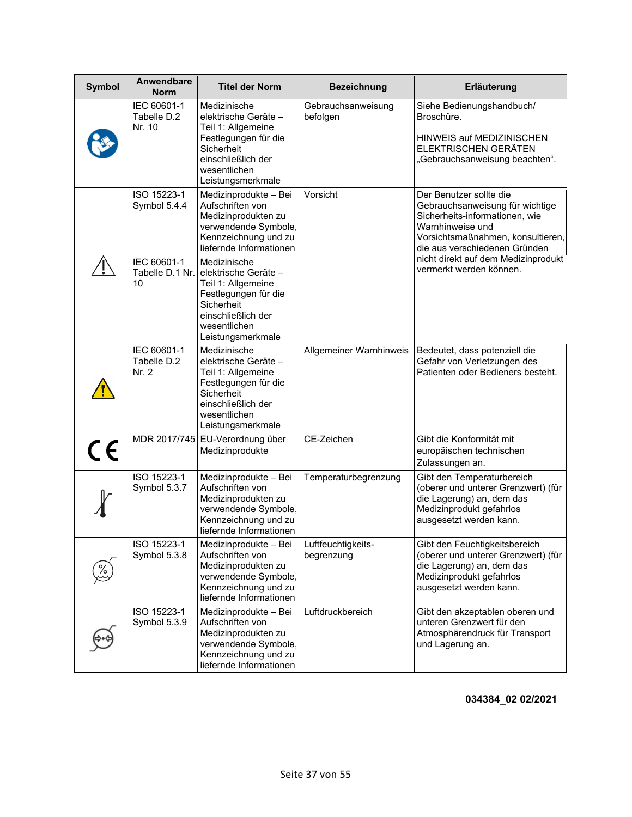| <b>Symbol</b> | Anwendbare<br><b>Norm</b>            | <b>Titel der Norm</b>                                                                                                                                      | <b>Bezeichnung</b>               | Erläuterung                                                                                                                                                                            |
|---------------|--------------------------------------|------------------------------------------------------------------------------------------------------------------------------------------------------------|----------------------------------|----------------------------------------------------------------------------------------------------------------------------------------------------------------------------------------|
|               | IEC 60601-1<br>Tabelle D.2<br>Nr. 10 | Medizinische<br>elektrische Geräte-<br>Teil 1: Allgemeine<br>Festlegungen für die<br>Sicherheit<br>einschließlich der<br>wesentlichen<br>Leistungsmerkmale | Gebrauchsanweisung<br>befolgen   | Siehe Bedienungshandbuch/<br>Broschüre.<br>HINWEIS auf MEDIZINISCHEN<br>ELEKTRISCHEN GERÄTEN<br>"Gebrauchsanweisung beachten".                                                         |
|               | ISO 15223-1<br>Symbol 5.4.4          | Medizinprodukte - Bei<br>Aufschriften von<br>Medizinprodukten zu<br>verwendende Symbole,<br>Kennzeichnung und zu<br>liefernde Informationen                | Vorsicht                         | Der Benutzer sollte die<br>Gebrauchsanweisung für wichtige<br>Sicherheits-informationen, wie<br>Warnhinweise und<br>Vorsichtsmaßnahmen, konsultieren,<br>die aus verschiedenen Gründen |
|               | IEC 60601-1<br>Tabelle D.1 Nr.<br>10 | Medizinische<br>elektrische Geräte-<br>Teil 1: Allgemeine<br>Festlegungen für die<br>Sicherheit<br>einschließlich der<br>wesentlichen<br>Leistungsmerkmale |                                  | nicht direkt auf dem Medizinprodukt<br>vermerkt werden können.                                                                                                                         |
|               | IEC 60601-1<br>Tabelle D.2<br>Nr. 2  | Medizinische<br>elektrische Geräte-<br>Teil 1: Allgemeine<br>Festlegungen für die<br>Sicherheit<br>einschließlich der<br>wesentlichen<br>Leistungsmerkmale | Allgemeiner Warnhinweis          | Bedeutet, dass potenziell die<br>Gefahr von Verletzungen des<br>Patienten oder Bedieners besteht.                                                                                      |
| $\epsilon$    |                                      | MDR 2017/745 EU-Verordnung über<br>Medizinprodukte                                                                                                         | CE-Zeichen                       | Gibt die Konformität mit<br>europäischen technischen<br>Zulassungen an.                                                                                                                |
|               | ISO 15223-1<br>Symbol 5.3.7          | Medizinprodukte - Bei<br>Aufschriften von<br>Medizinprodukten zu<br>verwendende Symbole,<br>Kennzeichnung und zu<br>liefernde Informationen                | Temperaturbegrenzung             | Gibt den Temperaturbereich<br>(oberer und unterer Grenzwert) (für<br>die Lagerung) an, dem das<br>Medizinprodukt gefahrlos<br>ausgesetzt werden kann.                                  |
|               | ISO 15223-1<br>Symbol 5.3.8          | Medizinprodukte - Bei<br>Aufschriften von<br>Medizinprodukten zu<br>verwendende Symbole,<br>Kennzeichnung und zu<br>liefernde Informationen                | Luftfeuchtigkeits-<br>begrenzung | Gibt den Feuchtigkeitsbereich<br>(oberer und unterer Grenzwert) (für<br>die Lagerung) an, dem das<br>Medizinprodukt gefahrlos<br>ausgesetzt werden kann.                               |
|               | ISO 15223-1<br>Symbol 5.3.9          | Medizinprodukte - Bei<br>Aufschriften von<br>Medizinprodukten zu<br>verwendende Symbole,<br>Kennzeichnung und zu<br>liefernde Informationen                | Luftdruckbereich                 | Gibt den akzeptablen oberen und<br>unteren Grenzwert für den<br>Atmosphärendruck für Transport<br>und Lagerung an.                                                                     |

**034384\_02 02/2021**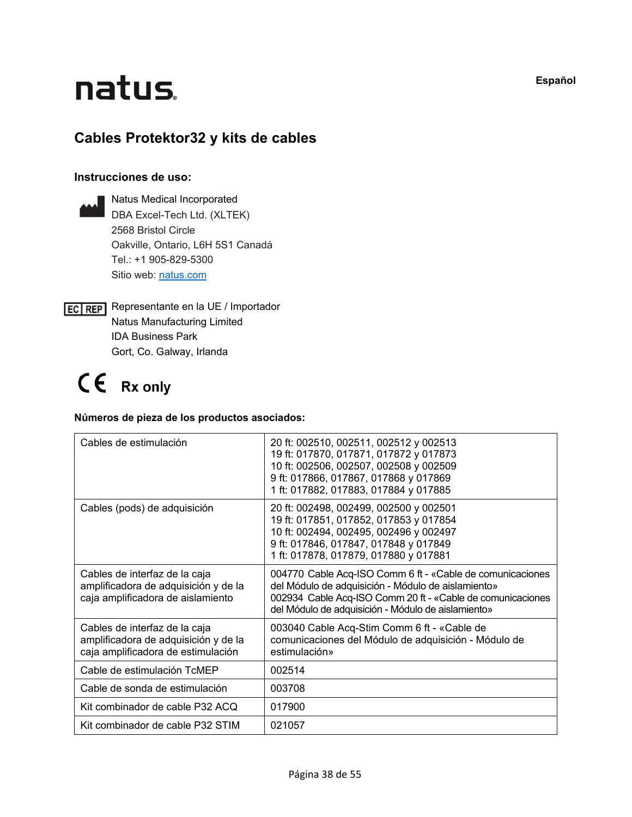## natus.

#### **Cables Protektor32 y kits de cables**

#### **Instrucciones de uso:**

- Natus Medical Incorporated DBA Excel-Tech Ltd. (XLTEK) 2568 Bristol Circle Oakville, Ontario, L6H 5S1 Canadá Tel.: +1 905-829-5300 Sitio web: [natus.com](https://natus.com/)
- **EC REP** Representante en la UE / Importador Natus Manufacturing Limited IDA Business Park Gort, Co. Galway, Irlanda

## CE Rx only

#### **Números de pieza de los productos asociados:**

| Cables de estimulación                                                                                      | 20 ft: 002510, 002511, 002512 y 002513<br>19 ft: 017870, 017871, 017872 y 017873<br>10 ft: 002506, 002507, 002508 y 002509<br>9 ft: 017866, 017867, 017868 y 017869<br>1 ft: 017882, 017883, 017884 y 017885                        |
|-------------------------------------------------------------------------------------------------------------|-------------------------------------------------------------------------------------------------------------------------------------------------------------------------------------------------------------------------------------|
| Cables (pods) de adquisición                                                                                | 20 ft: 002498, 002499, 002500 y 002501<br>19 ft: 017851, 017852, 017853 y 017854<br>10 ft: 002494, 002495, 002496 y 002497<br>9 ft: 017846, 017847, 017848 y 017849<br>1 ft: 017878, 017879, 017880 y 017881                        |
| Cables de interfaz de la caja<br>amplificadora de adquisición y de la<br>caja amplificadora de aislamiento  | 004770 Cable Acq-ISO Comm 6 ft - «Cable de comunicaciones<br>del Módulo de adquisición - Módulo de aislamiento»<br>002934 Cable Acq-ISO Comm 20 ft - «Cable de comunicaciones<br>del Módulo de adquisición - Módulo de aislamiento» |
| Cables de interfaz de la caja<br>amplificadora de adquisición y de la<br>caja amplificadora de estimulación | 003040 Cable Acq-Stim Comm 6 ft - «Cable de<br>comunicaciones del Módulo de adquisición - Módulo de<br>estimulación»                                                                                                                |
| Cable de estimulación TcMEP                                                                                 | 002514                                                                                                                                                                                                                              |
| Cable de sonda de estimulación                                                                              | 003708                                                                                                                                                                                                                              |
| Kit combinador de cable P32 ACQ                                                                             | 017900                                                                                                                                                                                                                              |
| Kit combinador de cable P32 STIM                                                                            | 021057                                                                                                                                                                                                                              |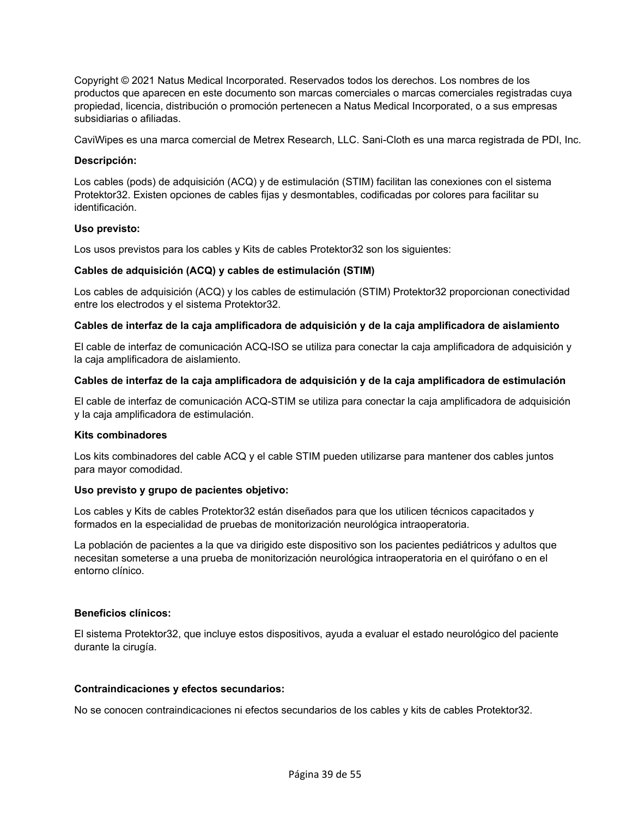Copyright © 2021 Natus Medical Incorporated. Reservados todos los derechos. Los nombres de los productos que aparecen en este documento son marcas comerciales o marcas comerciales registradas cuya propiedad, licencia, distribución o promoción pertenecen a Natus Medical Incorporated, o a sus empresas subsidiarias o afiliadas.

CaviWipes es una marca comercial de Metrex Research, LLC. Sani-Cloth es una marca registrada de PDI, Inc.

#### **Descripción:**

Los cables (pods) de adquisición (ACQ) y de estimulación (STIM) facilitan las conexiones con el sistema Protektor32. Existen opciones de cables fijas y desmontables, codificadas por colores para facilitar su identificación.

#### **Uso previsto:**

Los usos previstos para los cables y Kits de cables Protektor32 son los siguientes:

#### **Cables de adquisición (ACQ) y cables de estimulación (STIM)**

Los cables de adquisición (ACQ) y los cables de estimulación (STIM) Protektor32 proporcionan conectividad entre los electrodos y el sistema Protektor32.

#### **Cables de interfaz de la caja amplificadora de adquisición y de la caja amplificadora de aislamiento**

El cable de interfaz de comunicación ACQ-ISO se utiliza para conectar la caja amplificadora de adquisición y la caja amplificadora de aislamiento.

#### **Cables de interfaz de la caja amplificadora de adquisición y de la caja amplificadora de estimulación**

El cable de interfaz de comunicación ACQ-STIM se utiliza para conectar la caja amplificadora de adquisición y la caja amplificadora de estimulación.

#### **Kits combinadores**

Los kits combinadores del cable ACQ y el cable STIM pueden utilizarse para mantener dos cables juntos para mayor comodidad.

#### **Uso previsto y grupo de pacientes objetivo:**

Los cables y Kits de cables Protektor32 están diseñados para que los utilicen técnicos capacitados y formados en la especialidad de pruebas de monitorización neurológica intraoperatoria.

La población de pacientes a la que va dirigido este dispositivo son los pacientes pediátricos y adultos que necesitan someterse a una prueba de monitorización neurológica intraoperatoria en el quirófano o en el entorno clínico.

#### **Beneficios clínicos:**

El sistema Protektor32, que incluye estos dispositivos, ayuda a evaluar el estado neurológico del paciente durante la cirugía.

#### **Contraindicaciones y efectos secundarios:**

No se conocen contraindicaciones ni efectos secundarios de los cables y kits de cables Protektor32.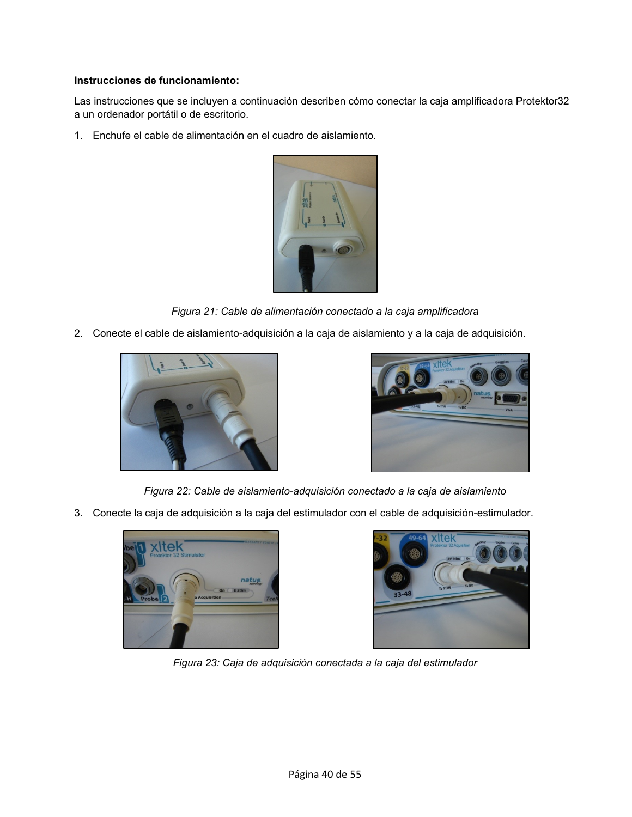#### **Instrucciones de funcionamiento:**

Las instrucciones que se incluyen a continuación describen cómo conectar la caja amplificadora Protektor32 a un ordenador portátil o de escritorio.

1. Enchufe el cable de alimentación en el cuadro de aislamiento.



*Figura 21: Cable de alimentación conectado a la caja amplificadora* 

2. Conecte el cable de aislamiento-adquisición a la caja de aislamiento y a la caja de adquisición.





*Figura 22: Cable de aislamiento-adquisición conectado a la caja de aislamiento*

3. Conecte la caja de adquisición a la caja del estimulador con el cable de adquisición-estimulador.





*Figura 23: Caja de adquisición conectada a la caja del estimulador*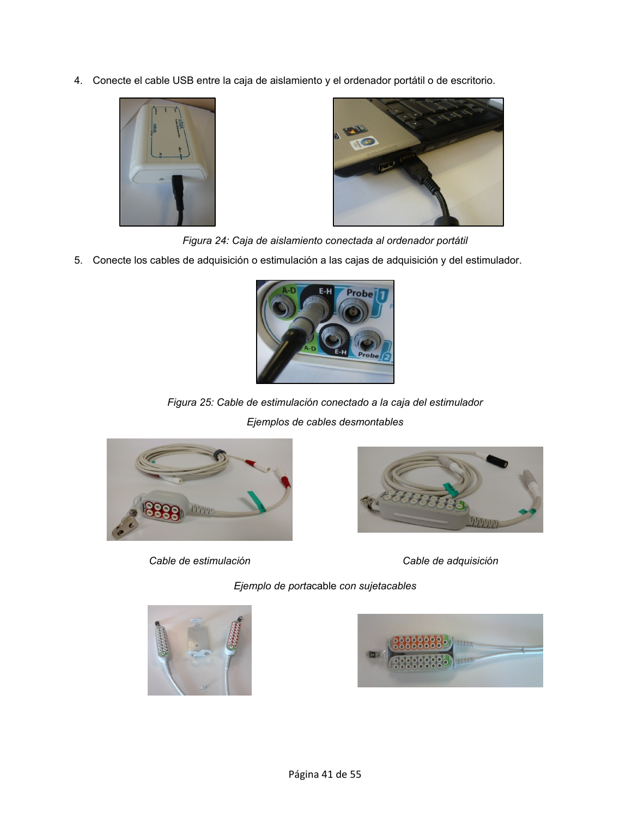4. Conecte el cable USB entre la caja de aislamiento y el ordenador portátil o de escritorio.





*Figura 24: Caja de aislamiento conectada al ordenador portátil*

5. Conecte los cables de adquisición o estimulación a las cajas de adquisición y del estimulador.



*Figura 25: Cable de estimulación conectado a la caja del estimulador Ejemplos de cables desmontables*



*Cable de estimulación Cable de adquisición*



*Ejemplo de porta*cable *con sujetacables*



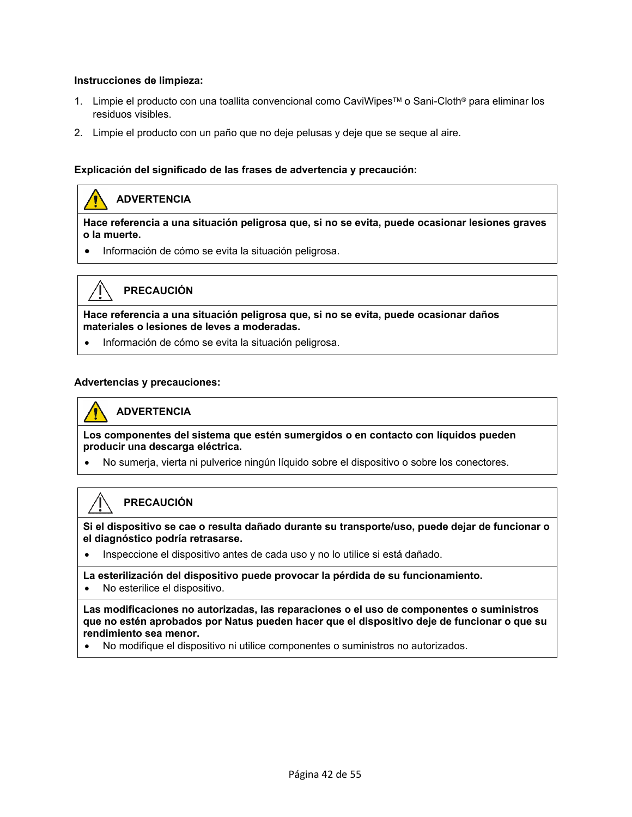#### **Instrucciones de limpieza:**

- 1. Limpie el producto con una toallita convencional como CaviWipes™ o Sani-Cloth® para eliminar los residuos visibles.
- 2. Limpie el producto con un paño que no deje pelusas y deje que se seque al aire.

#### **Explicación del significado de las frases de advertencia y precaución:**

#### **ADVERTENCIA**

**Hace referencia a una situación peligrosa que, si no se evita, puede ocasionar lesiones graves o la muerte.** 

• Información de cómo se evita la situación peligrosa.



#### **PRECAUCIÓN**

**Hace referencia a una situación peligrosa que, si no se evita, puede ocasionar daños materiales o lesiones de leves a moderadas.**

• Información de cómo se evita la situación peligrosa.

#### **Advertencias y precauciones:**

#### **ADVERTENCIA**

**Los componentes del sistema que estén sumergidos o en contacto con líquidos pueden producir una descarga eléctrica.**

• No sumerja, vierta ni pulverice ningún líquido sobre el dispositivo o sobre los conectores.

#### **PRECAUCIÓN**

**Si el dispositivo se cae o resulta dañado durante su transporte/uso, puede dejar de funcionar o el diagnóstico podría retrasarse.**

• Inspeccione el dispositivo antes de cada uso y no lo utilice si está dañado.

**La esterilización del dispositivo puede provocar la pérdida de su funcionamiento.**

• No esterilice el dispositivo.

**Las modificaciones no autorizadas, las reparaciones o el uso de componentes o suministros que no estén aprobados por Natus pueden hacer que el dispositivo deje de funcionar o que su rendimiento sea menor.**

• No modifique el dispositivo ni utilice componentes o suministros no autorizados.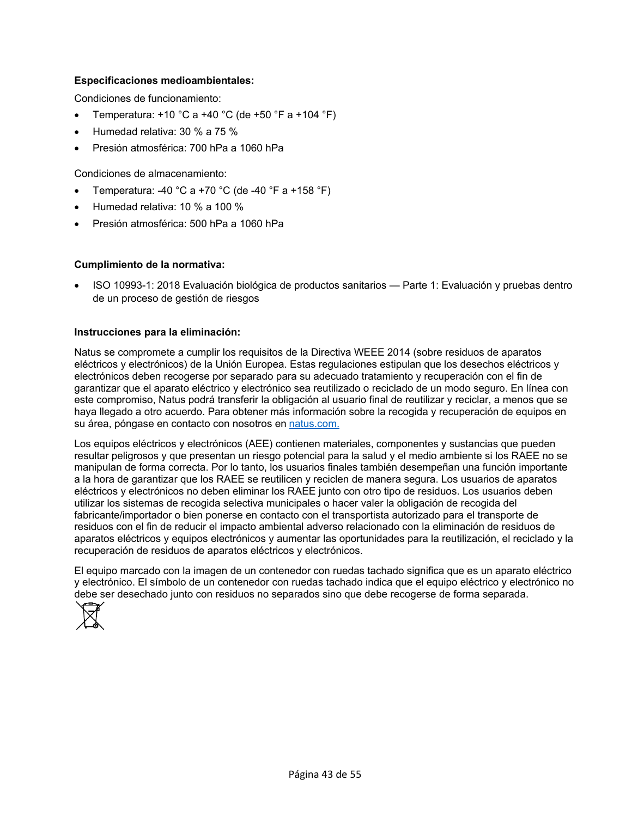#### **Especificaciones medioambientales:**

Condiciones de funcionamiento:

- Temperatura:  $+10$  °C a  $+40$  °C (de  $+50$  °F a  $+104$  °F)
- Humedad relativa: 30 % a 75 %
- Presión atmosférica: 700 hPa a 1060 hPa

Condiciones de almacenamiento:

- Temperatura: -40 °C a +70 °C (de -40 °F a +158 °F)
- Humedad relativa: 10 % a 100 %
- Presión atmosférica: 500 hPa a 1060 hPa

#### **Cumplimiento de la normativa:**

• ISO 10993-1: 2018 Evaluación biológica de productos sanitarios — Parte 1: Evaluación y pruebas dentro de un proceso de gestión de riesgos

#### **Instrucciones para la eliminación:**

Natus se compromete a cumplir los requisitos de la Directiva WEEE 2014 (sobre residuos de aparatos eléctricos y electrónicos) de la Unión Europea. Estas regulaciones estipulan que los desechos eléctricos y electrónicos deben recogerse por separado para su adecuado tratamiento y recuperación con el fin de garantizar que el aparato eléctrico y electrónico sea reutilizado o reciclado de un modo seguro. En línea con este compromiso, Natus podrá transferir la obligación al usuario final de reutilizar y reciclar, a menos que se haya llegado a otro acuerdo. Para obtener más información sobre la recogida y recuperación de equipos en su área, póngase en contacto con nosotros en [natus.com.](https://natus.com/)

Los equipos eléctricos y electrónicos (AEE) contienen materiales, componentes y sustancias que pueden resultar peligrosos y que presentan un riesgo potencial para la salud y el medio ambiente si los RAEE no se manipulan de forma correcta. Por lo tanto, los usuarios finales también desempeñan una función importante a la hora de garantizar que los RAEE se reutilicen y reciclen de manera segura. Los usuarios de aparatos eléctricos y electrónicos no deben eliminar los RAEE junto con otro tipo de residuos. Los usuarios deben utilizar los sistemas de recogida selectiva municipales o hacer valer la obligación de recogida del fabricante/importador o bien ponerse en contacto con el transportista autorizado para el transporte de residuos con el fin de reducir el impacto ambiental adverso relacionado con la eliminación de residuos de aparatos eléctricos y equipos electrónicos y aumentar las oportunidades para la reutilización, el reciclado y la recuperación de residuos de aparatos eléctricos y electrónicos.

El equipo marcado con la imagen de un contenedor con ruedas tachado significa que es un aparato eléctrico y electrónico. El símbolo de un contenedor con ruedas tachado indica que el equipo eléctrico y electrónico no debe ser desechado junto con residuos no separados sino que debe recogerse de forma separada.

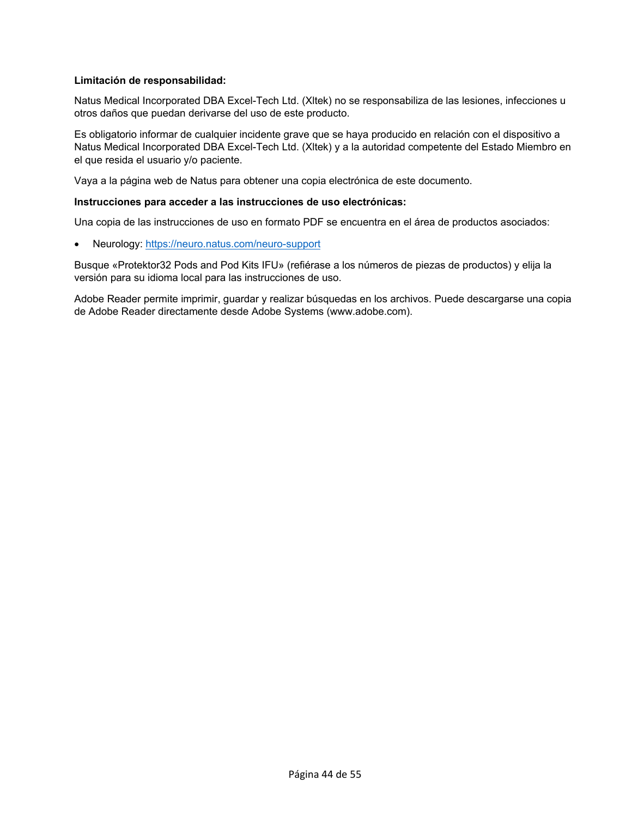#### **Limitación de responsabilidad:**

Natus Medical Incorporated DBA Excel-Tech Ltd. (Xltek) no se responsabiliza de las lesiones, infecciones u otros daños que puedan derivarse del uso de este producto.

Es obligatorio informar de cualquier incidente grave que se haya producido en relación con el dispositivo a Natus Medical Incorporated DBA Excel-Tech Ltd. (Xltek) y a la autoridad competente del Estado Miembro en el que resida el usuario y/o paciente.

Vaya a la página web de Natus para obtener una copia electrónica de este documento.

#### **Instrucciones para acceder a las instrucciones de uso electrónicas:**

Una copia de las instrucciones de uso en formato PDF se encuentra en el área de productos asociados:

• Neurology:<https://neuro.natus.com/neuro-support>

Busque «Protektor32 Pods and Pod Kits IFU» (refiérase a los números de piezas de productos) y elija la versión para su idioma local para las instrucciones de uso.

Adobe Reader permite imprimir, guardar y realizar búsquedas en los archivos. Puede descargarse una copia de Adobe Reader directamente desde Adobe Systems (www.adobe.com).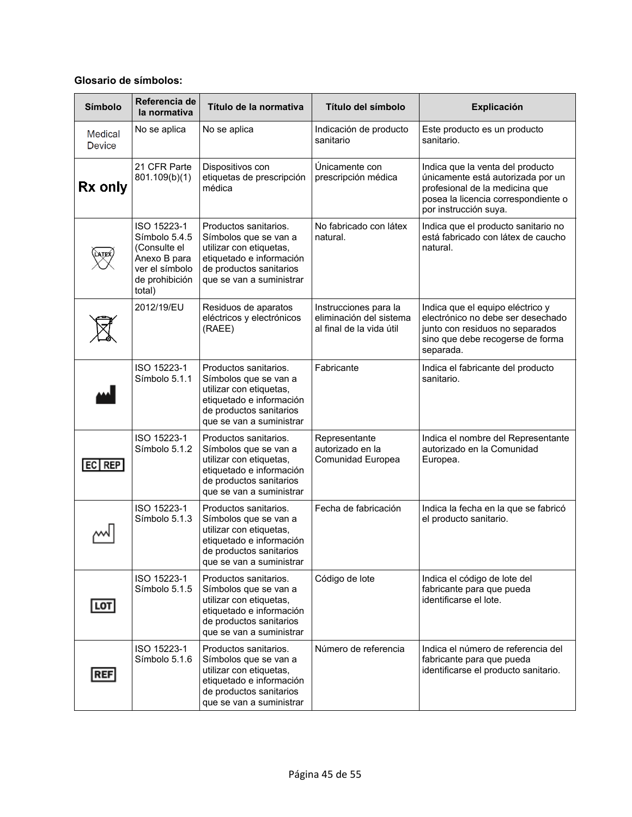#### **Glosario de símbolos:**

| <b>Símbolo</b>                  | Referencia de<br>la normativa                                                                              | Título de la normativa                                                                                                                                       | Título del símbolo                                                           | <b>Explicación</b>                                                                                                                                                      |
|---------------------------------|------------------------------------------------------------------------------------------------------------|--------------------------------------------------------------------------------------------------------------------------------------------------------------|------------------------------------------------------------------------------|-------------------------------------------------------------------------------------------------------------------------------------------------------------------------|
| <b>Medical</b><br><b>Device</b> | No se aplica                                                                                               | No se aplica                                                                                                                                                 | Indicación de producto<br>sanitario                                          | Este producto es un producto<br>sanitario.                                                                                                                              |
| Rx only                         | 21 CFR Parte<br>801.109(b)(1)                                                                              | Dispositivos con<br>etiquetas de prescripción<br>médica                                                                                                      | Únicamente con<br>prescripción médica                                        | Indica que la venta del producto<br>únicamente está autorizada por un<br>profesional de la medicina que<br>posea la licencia correspondiente o<br>por instrucción suya. |
|                                 | ISO 15223-1<br>Símbolo 5.4.5<br>(Consulte el<br>Anexo B para<br>ver el símbolo<br>de prohibición<br>total) | Productos sanitarios.<br>Símbolos que se van a<br>utilizar con etiquetas,<br>etiquetado e información<br>de productos sanitarios<br>que se van a suministrar | No fabricado con látex<br>natural.                                           | Indica que el producto sanitario no<br>está fabricado con látex de caucho<br>natural.                                                                                   |
|                                 | 2012/19/EU                                                                                                 | Residuos de aparatos<br>eléctricos y electrónicos<br>(RAEE)                                                                                                  | Instrucciones para la<br>eliminación del sistema<br>al final de la vida útil | Indica que el equipo eléctrico y<br>electrónico no debe ser desechado<br>junto con residuos no separados<br>sino que debe recogerse de forma<br>separada.               |
|                                 | ISO 15223-1<br>Símbolo 5.1.1                                                                               | Productos sanitarios.<br>Símbolos que se van a<br>utilizar con etiquetas,<br>etiquetado e información<br>de productos sanitarios<br>que se van a suministrar | Fabricante                                                                   | Indica el fabricante del producto<br>sanitario.                                                                                                                         |
| $ EC $ REP                      | ISO 15223-1<br>Símbolo 5.1.2                                                                               | Productos sanitarios.<br>Símbolos que se van a<br>utilizar con etiquetas,<br>etiquetado e información<br>de productos sanitarios<br>que se van a suministrar | Representante<br>autorizado en la<br>Comunidad Europea                       | Indica el nombre del Representante<br>autorizado en la Comunidad<br>Europea.                                                                                            |
|                                 | ISO 15223-1<br>Símbolo 5.1.3                                                                               | Productos sanitarios.<br>Símbolos que se van a<br>utilizar con etiquetas,<br>etiquetado e información<br>de productos sanitarios<br>que se van a suministrar | Fecha de fabricación                                                         | Indica la fecha en la que se fabricó<br>el producto sanitario.                                                                                                          |
| LOT                             | ISO 15223-1<br>Símbolo 5.1.5                                                                               | Productos sanitarios.<br>Símbolos que se van a<br>utilizar con etiquetas,<br>etiquetado e información<br>de productos sanitarios<br>que se van a suministrar | Código de lote                                                               | Indica el código de lote del<br>fabricante para que pueda<br>identificarse el lote.                                                                                     |
| <b>REF</b>                      | ISO 15223-1<br>Símbolo 5.1.6                                                                               | Productos sanitarios.<br>Símbolos que se van a<br>utilizar con etiquetas,<br>etiquetado e información<br>de productos sanitarios<br>que se van a suministrar | Número de referencia                                                         | Indica el número de referencia del<br>fabricante para que pueda<br>identificarse el producto sanitario.                                                                 |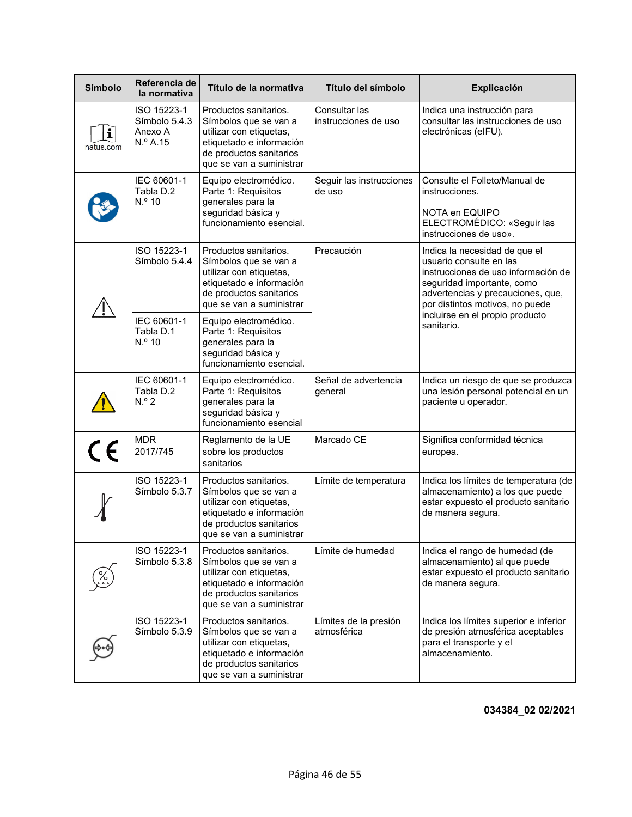| <b>Símbolo</b> | Referencia de<br>la normativa                       | Título de la normativa                                                                                                                                       | Título del símbolo                    | <b>Explicación</b>                                                                                                                                                                                                                                     |
|----------------|-----------------------------------------------------|--------------------------------------------------------------------------------------------------------------------------------------------------------------|---------------------------------------|--------------------------------------------------------------------------------------------------------------------------------------------------------------------------------------------------------------------------------------------------------|
| i<br>natus.com | ISO 15223-1<br>Símbolo 5.4.3<br>Anexo A<br>N.º A.15 | Productos sanitarios.<br>Símbolos que se van a<br>utilizar con etiquetas,<br>etiquetado e información<br>de productos sanitarios<br>que se van a suministrar | Consultar las<br>instrucciones de uso | Indica una instrucción para<br>consultar las instrucciones de uso<br>electrónicas (eIFU).                                                                                                                                                              |
|                | IEC 60601-1<br>Tabla D.2<br>N.º 10                  | Equipo electromédico.<br>Parte 1: Requisitos<br>generales para la<br>seguridad básica y<br>funcionamiento esencial.                                          | Seguir las instrucciones<br>de uso    | Consulte el Folleto/Manual de<br>instrucciones.<br>NOTA en EQUIPO<br>ELECTROMÉDICO: «Seguir las<br>instrucciones de uso».                                                                                                                              |
|                | ISO 15223-1<br>Símbolo 5.4.4                        | Productos sanitarios.<br>Símbolos que se van a<br>utilizar con etiquetas,<br>etiquetado e información<br>de productos sanitarios<br>que se van a suministrar | Precaución                            | Indica la necesidad de que el<br>usuario consulte en las<br>instrucciones de uso información de<br>seguridad importante, como<br>advertencias y precauciones, que,<br>por distintos motivos, no puede<br>incluirse en el propio producto<br>sanitario. |
|                | IEC 60601-1<br>Tabla D.1<br>N.º 10                  | Equipo electromédico.<br>Parte 1: Requisitos<br>generales para la<br>seguridad básica y<br>funcionamiento esencial.                                          |                                       |                                                                                                                                                                                                                                                        |
|                | IEC 60601-1<br>Tabla D.2<br>$N.o$ 2                 | Equipo electromédico.<br>Parte 1: Requisitos<br>generales para la<br>seguridad básica y<br>funcionamiento esencial                                           | Señal de advertencia<br>general       | Indica un riesgo de que se produzca<br>una lesión personal potencial en un<br>paciente u operador.                                                                                                                                                     |
| $C \in$        | <b>MDR</b><br>2017/745                              | Reglamento de la UE<br>sobre los productos<br>sanitarios                                                                                                     | Marcado CE                            | Significa conformidad técnica<br>europea.                                                                                                                                                                                                              |
|                | ISO 15223-1<br>Símbolo 5.3.7                        | Productos sanitarios.<br>Símbolos que se van a<br>utilizar con etiquetas,<br>etiquetado e información<br>de productos sanitarios<br>que se van a suministrar | Límite de temperatura                 | Indica los límites de temperatura (de<br>almacenamiento) a los que puede<br>estar expuesto el producto sanitario<br>de manera segura.                                                                                                                  |
|                | ISO 15223-1<br>Símbolo 5.3.8                        | Productos sanitarios.<br>Símbolos que se van a<br>utilizar con etiquetas,<br>etiquetado e información<br>de productos sanitarios<br>que se van a suministrar | Límite de humedad                     | Indica el rango de humedad (de<br>almacenamiento) al que puede<br>estar expuesto el producto sanitario<br>de manera segura.                                                                                                                            |
|                | ISO 15223-1<br>Símbolo 5.3.9                        | Productos sanitarios.<br>Símbolos que se van a<br>utilizar con etiquetas,<br>etiquetado e información<br>de productos sanitarios<br>que se van a suministrar | Límites de la presión<br>atmosférica  | Indica los límites superior e inferior<br>de presión atmosférica aceptables<br>para el transporte y el<br>almacenamiento.                                                                                                                              |

**034384\_02 02/2021**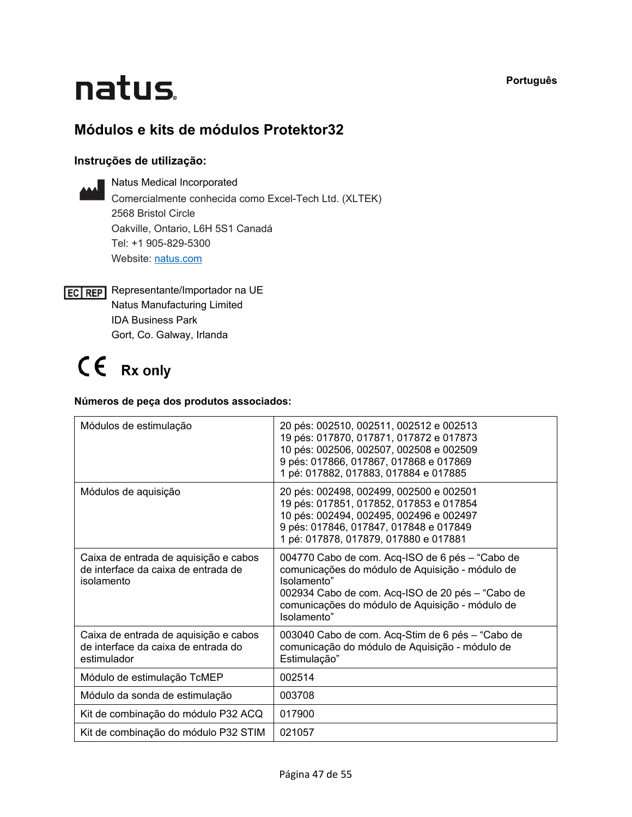**Português**

# natus.

#### **Módulos e kits de módulos Protektor32**

#### **Instruções de utilização:**



Natus Medical Incorporated Comercialmente conhecida como Excel-Tech Ltd. (XLTEK) 2568 Bristol Circle Oakville, Ontario, L6H 5S1 Canadá Tel: +1 905-829-5300 Website: [natus.com](https://natus.com/)

**EC REP** Representante/Importador na UE Natus Manufacturing Limited IDA Business Park Gort, Co. Galway, Irlanda

## CE Rx only

#### **Números de peça dos produtos associados:**

| Módulos de estimulação                                                                      | 20 pés: 002510, 002511, 002512 e 002513<br>19 pés: 017870, 017871, 017872 e 017873<br>10 pés: 002506, 002507, 002508 e 002509<br>9 pés: 017866, 017867, 017868 e 017869<br>1 pé: 017882, 017883, 017884 e 017885                        |  |  |
|---------------------------------------------------------------------------------------------|-----------------------------------------------------------------------------------------------------------------------------------------------------------------------------------------------------------------------------------------|--|--|
| Módulos de aquisição                                                                        | 20 pés: 002498, 002499, 002500 e 002501<br>19 pés: 017851, 017852, 017853 e 017854<br>10 pés: 002494, 002495, 002496 e 002497<br>9 pés: 017846, 017847, 017848 e 017849<br>1 pé: 017878, 017879, 017880 e 017881                        |  |  |
| Caixa de entrada de aquisição e cabos<br>de interface da caixa de entrada de<br>isolamento  | 004770 Cabo de com. Acq-ISO de 6 pés - "Cabo de<br>comunicações do módulo de Aquisição - módulo de<br>Isolamento"<br>002934 Cabo de com. Acq-ISO de 20 pés – "Cabo de<br>comunicações do módulo de Aquisição - módulo de<br>Isolamento" |  |  |
| Caixa de entrada de aquisição e cabos<br>de interface da caixa de entrada do<br>estimulador | 003040 Cabo de com. Acq-Stim de 6 pés - "Cabo de<br>comunicação do módulo de Aquisição - módulo de<br>Estimulação"                                                                                                                      |  |  |
| Módulo de estimulação TcMEP                                                                 | 002514                                                                                                                                                                                                                                  |  |  |
| Módulo da sonda de estimulação                                                              | 003708                                                                                                                                                                                                                                  |  |  |
| Kit de combinação do módulo P32 ACQ                                                         | 017900                                                                                                                                                                                                                                  |  |  |
| Kit de combinação do módulo P32 STIM                                                        | 021057                                                                                                                                                                                                                                  |  |  |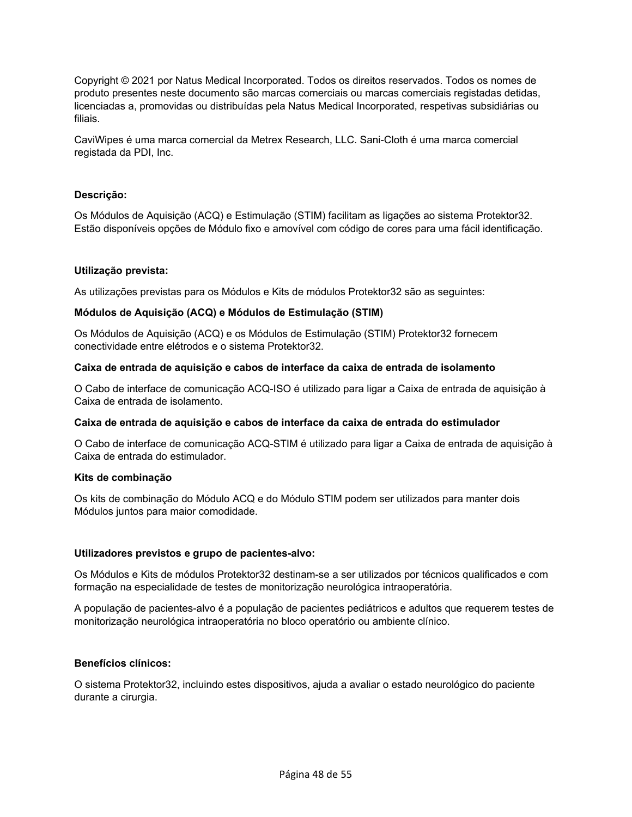Copyright © 2021 por Natus Medical Incorporated. Todos os direitos reservados. Todos os nomes de produto presentes neste documento são marcas comerciais ou marcas comerciais registadas detidas, licenciadas a, promovidas ou distribuídas pela Natus Medical Incorporated, respetivas subsidiárias ou filiais.

CaviWipes é uma marca comercial da Metrex Research, LLC. Sani-Cloth é uma marca comercial registada da PDI, Inc.

#### **Descrição:**

Os Módulos de Aquisição (ACQ) e Estimulação (STIM) facilitam as ligações ao sistema Protektor32. Estão disponíveis opções de Módulo fixo e amovível com código de cores para uma fácil identificação.

#### **Utilização prevista:**

As utilizações previstas para os Módulos e Kits de módulos Protektor32 são as seguintes:

#### **Módulos de Aquisição (ACQ) e Módulos de Estimulação (STIM)**

Os Módulos de Aquisição (ACQ) e os Módulos de Estimulação (STIM) Protektor32 fornecem conectividade entre elétrodos e o sistema Protektor32.

#### **Caixa de entrada de aquisição e cabos de interface da caixa de entrada de isolamento**

O Cabo de interface de comunicação ACQ-ISO é utilizado para ligar a Caixa de entrada de aquisição à Caixa de entrada de isolamento.

#### **Caixa de entrada de aquisição e cabos de interface da caixa de entrada do estimulador**

O Cabo de interface de comunicação ACQ-STIM é utilizado para ligar a Caixa de entrada de aquisição à Caixa de entrada do estimulador.

#### **Kits de combinação**

Os kits de combinação do Módulo ACQ e do Módulo STIM podem ser utilizados para manter dois Módulos juntos para maior comodidade.

#### **Utilizadores previstos e grupo de pacientes-alvo:**

Os Módulos e Kits de módulos Protektor32 destinam-se a ser utilizados por técnicos qualificados e com formação na especialidade de testes de monitorização neurológica intraoperatória.

A população de pacientes-alvo é a população de pacientes pediátricos e adultos que requerem testes de monitorização neurológica intraoperatória no bloco operatório ou ambiente clínico.

#### **Benefícios clínicos:**

O sistema Protektor32, incluindo estes dispositivos, ajuda a avaliar o estado neurológico do paciente durante a cirurgia.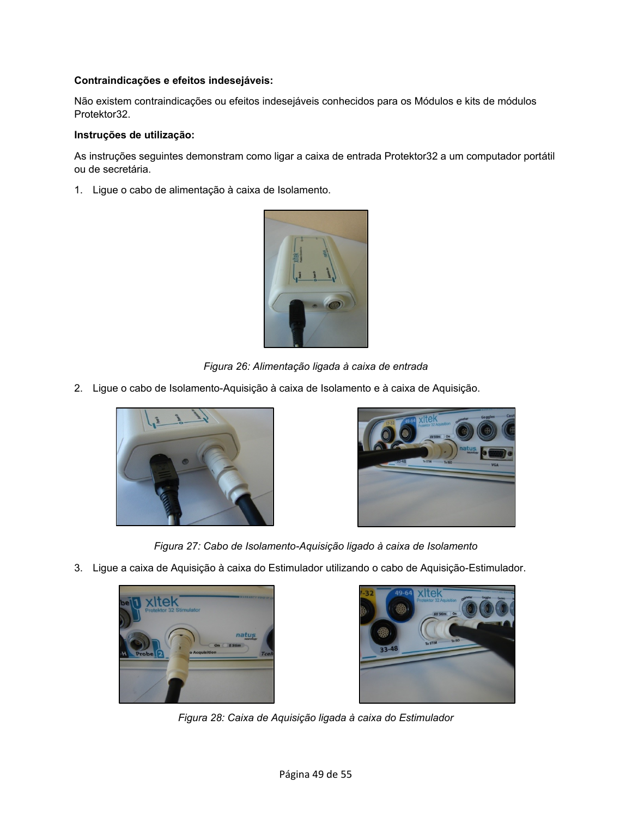#### **Contraindicações e efeitos indesejáveis:**

Não existem contraindicações ou efeitos indesejáveis conhecidos para os Módulos e kits de módulos Protektor32.

#### **Instruções de utilização:**

As instruções seguintes demonstram como ligar a caixa de entrada Protektor32 a um computador portátil ou de secretária.

1. Ligue o cabo de alimentação à caixa de Isolamento.



*Figura 26: Alimentação ligada à caixa de entrada* 

2. Ligue o cabo de Isolamento-Aquisição à caixa de Isolamento e à caixa de Aquisição.





*Figura 27: Cabo de Isolamento-Aquisição ligado à caixa de Isolamento*

3. Ligue a caixa de Aquisição à caixa do Estimulador utilizando o cabo de Aquisição-Estimulador.





*Figura 28: Caixa de Aquisição ligada à caixa do Estimulador*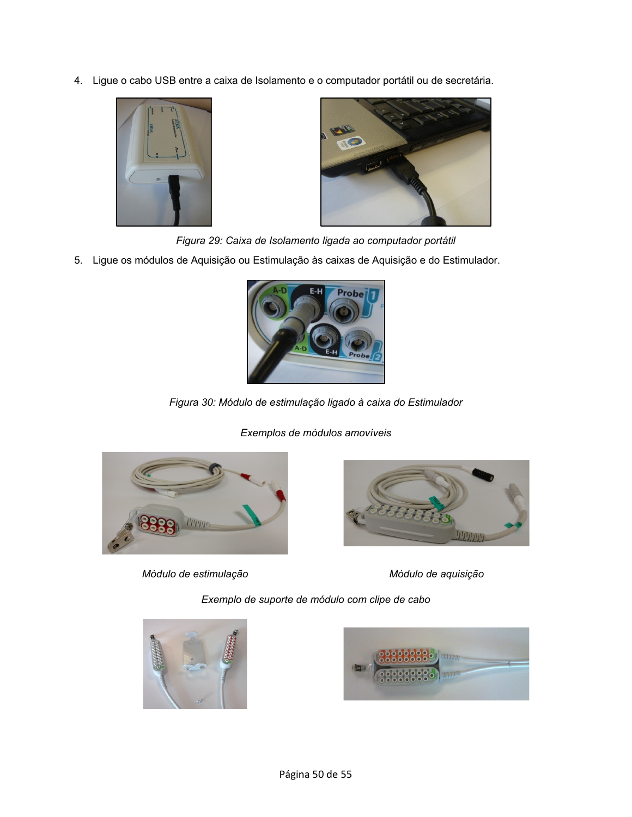4. Ligue o cabo USB entre a caixa de Isolamento e o computador portátil ou de secretária.





*Figura 29: Caixa de Isolamento ligada ao computador portátil*

5. Ligue os módulos de Aquisição ou Estimulação às caixas de Aquisição e do Estimulador.



*Figura 30: Módulo de estimulação ligado à caixa do Estimulador*





*Módulo de estimulação Módulo de aquisição*



*Exemplo de suporte de módulo com clipe de cabo*



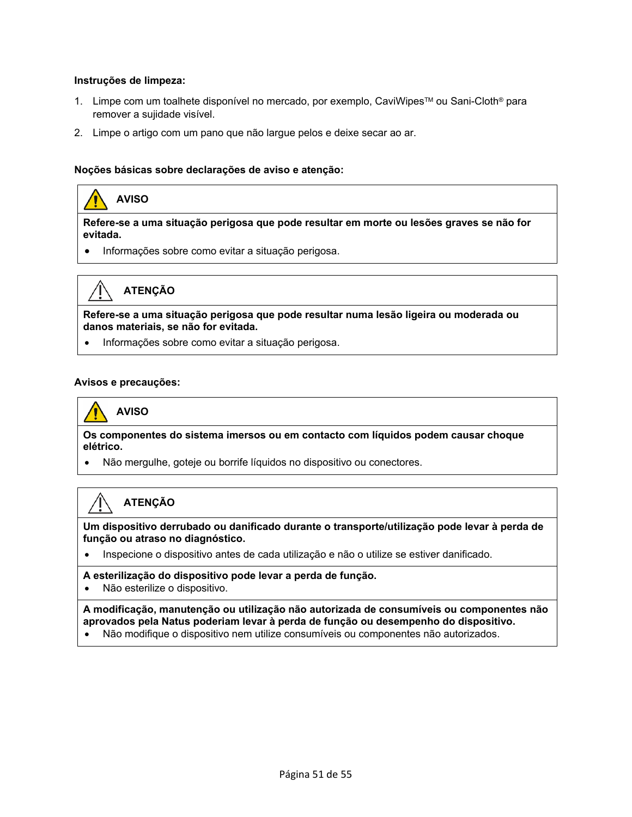#### **Instruções de limpeza:**

- 1. Limpe com um toalhete disponível no mercado, por exemplo, CaviWipes™ ou Sani-Cloth® para remover a sujidade visível.
- 2. Limpe o artigo com um pano que não largue pelos e deixe secar ao ar.

#### **Noções básicas sobre declarações de aviso e atenção:**

### **AVISO**

**Refere-se a uma situação perigosa que pode resultar em morte ou lesões graves se não for evitada.** 

• Informações sobre como evitar a situação perigosa.



#### **ATENÇÃO**

**Refere-se a uma situação perigosa que pode resultar numa lesão ligeira ou moderada ou danos materiais, se não for evitada.**

• Informações sobre como evitar a situação perigosa.

#### **Avisos e precauções:**

**AVISO** 

**Os componentes do sistema imersos ou em contacto com líquidos podem causar choque elétrico.**

• Não mergulhe, goteje ou borrife líquidos no dispositivo ou conectores.

#### **ATENÇÃO**

**Um dispositivo derrubado ou danificado durante o transporte/utilização pode levar à perda de função ou atraso no diagnóstico.**

• Inspecione o dispositivo antes de cada utilização e não o utilize se estiver danificado.

#### **A esterilização do dispositivo pode levar a perda de função.**

• Não esterilize o dispositivo.

**A modificação, manutenção ou utilização não autorizada de consumíveis ou componentes não aprovados pela Natus poderiam levar à perda de função ou desempenho do dispositivo.**

• Não modifique o dispositivo nem utilize consumíveis ou componentes não autorizados.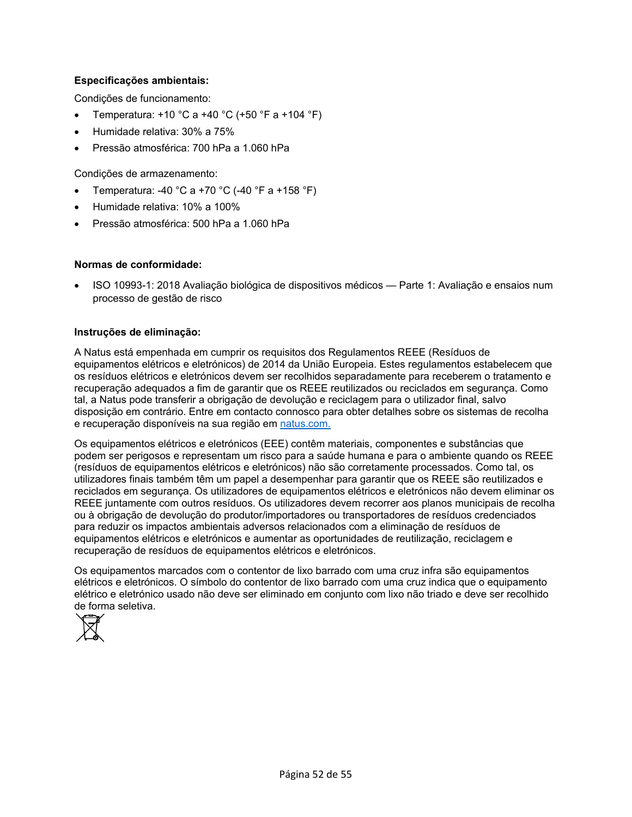#### **Especificações ambientais:**

Condições de funcionamento:

- Temperatura: +10 °C a +40 °C (+50 °F a +104 °F)
- Humidade relativa: 30% a 75%
- Pressão atmosférica: 700 hPa a 1.060 hPa

Condições de armazenamento:

- Temperatura: -40 °C a +70 °C (-40 °F a +158 °F)
- Humidade relativa: 10% a 100%
- Pressão atmosférica: 500 hPa a 1.060 hPa

#### **Normas de conformidade:**

• ISO 10993-1: 2018 Avaliação biológica de dispositivos médicos — Parte 1: Avaliação e ensaios num processo de gestão de risco

#### **Instruções de eliminação:**

A Natus está empenhada em cumprir os requisitos dos Regulamentos REEE (Resíduos de equipamentos elétricos e eletrónicos) de 2014 da União Europeia. Estes regulamentos estabelecem que os resíduos elétricos e eletrónicos devem ser recolhidos separadamente para receberem o tratamento e recuperação adequados a fim de garantir que os REEE reutilizados ou reciclados em segurança. Como tal, a Natus pode transferir a obrigação de devolução e reciclagem para o utilizador final, salvo disposição em contrário. Entre em contacto connosco para obter detalhes sobre os sistemas de recolha e recuperação disponíveis na sua região em [natus.com.](https://natus.com/)

Os equipamentos elétricos e eletrónicos (EEE) contêm materiais, componentes e substâncias que podem ser perigosos e representam um risco para a saúde humana e para o ambiente quando os REEE (resíduos de equipamentos elétricos e eletrónicos) não são corretamente processados. Como tal, os utilizadores finais também têm um papel a desempenhar para garantir que os REEE são reutilizados e reciclados em segurança. Os utilizadores de equipamentos elétricos e eletrónicos não devem eliminar os REEE juntamente com outros resíduos. Os utilizadores devem recorrer aos planos municipais de recolha ou à obrigação de devolução do produtor/importadores ou transportadores de resíduos credenciados para reduzir os impactos ambientais adversos relacionados com a eliminação de resíduos de equipamentos elétricos e eletrónicos e aumentar as oportunidades de reutilização, reciclagem e recuperação de resíduos de equipamentos elétricos e eletrónicos.

Os equipamentos marcados com o contentor de lixo barrado com uma cruz infra são equipamentos elétricos e eletrónicos. O símbolo do contentor de lixo barrado com uma cruz indica que o equipamento elétrico e eletrónico usado não deve ser eliminado em conjunto com lixo não triado e deve ser recolhido de forma seletiva.

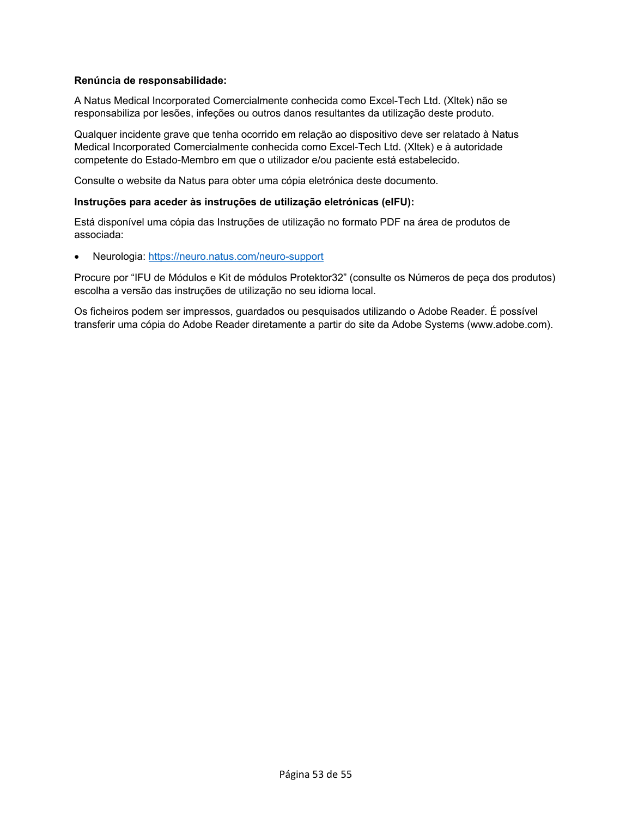#### **Renúncia de responsabilidade:**

A Natus Medical Incorporated Comercialmente conhecida como Excel-Tech Ltd. (Xltek) não se responsabiliza por lesões, infeções ou outros danos resultantes da utilização deste produto.

Qualquer incidente grave que tenha ocorrido em relação ao dispositivo deve ser relatado à Natus Medical Incorporated Comercialmente conhecida como Excel-Tech Ltd. (Xltek) e à autoridade competente do Estado-Membro em que o utilizador e/ou paciente está estabelecido.

Consulte o website da Natus para obter uma cópia eletrónica deste documento.

#### **Instruções para aceder às instruções de utilização eletrónicas (eIFU):**

Está disponível uma cópia das Instruções de utilização no formato PDF na área de produtos de associada:

• Neurologia:<https://neuro.natus.com/neuro-support>

Procure por "IFU de Módulos e Kit de módulos Protektor32" (consulte os Números de peça dos produtos) escolha a versão das instruções de utilização no seu idioma local.

Os ficheiros podem ser impressos, guardados ou pesquisados utilizando o Adobe Reader. É possível transferir uma cópia do Adobe Reader diretamente a partir do site da Adobe Systems (www.adobe.com).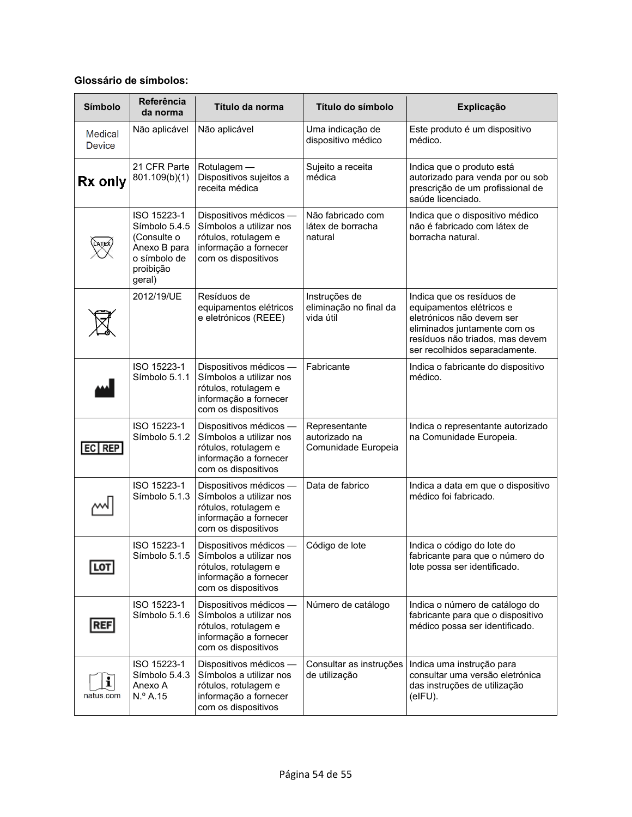#### **Glossário de símbolos:**

| <b>Símbolo</b>           | Referência<br>da norma                                                                             | Título da norma                                                                                                           | Título do símbolo                                     | Explicação                                                                                                                                                                             |
|--------------------------|----------------------------------------------------------------------------------------------------|---------------------------------------------------------------------------------------------------------------------------|-------------------------------------------------------|----------------------------------------------------------------------------------------------------------------------------------------------------------------------------------------|
| Medical<br><b>Device</b> | Não aplicável                                                                                      | Não aplicável                                                                                                             | Uma indicação de<br>dispositivo médico                | Este produto é um dispositivo<br>médico.                                                                                                                                               |
| Rx only                  | 21 CFR Parte<br>801.109(b)(1)                                                                      | Rotulagem -<br>Dispositivos sujeitos a<br>receita médica                                                                  | Sujeito a receita<br>médica                           | Indica que o produto está<br>autorizado para venda por ou sob<br>prescrição de um profissional de<br>saúde licenciado.                                                                 |
|                          | ISO 15223-1<br>Símbolo 5.4.5<br>(Consulte o<br>Anexo B para<br>o símbolo de<br>proibição<br>geral) | Dispositivos médicos -<br>Símbolos a utilizar nos<br>rótulos, rotulagem e<br>informação a fornecer<br>com os dispositivos | Não fabricado com<br>látex de borracha<br>natural     | Indica que o dispositivo médico<br>não é fabricado com látex de<br>borracha natural.                                                                                                   |
|                          | 2012/19/UE                                                                                         | Resíduos de<br>equipamentos elétricos<br>e eletrónicos (REEE)                                                             | Instruções de<br>eliminação no final da<br>vida útil  | Indica que os resíduos de<br>equipamentos elétricos e<br>eletrónicos não devem ser<br>eliminados juntamente com os<br>resíduos não triados, mas devem<br>ser recolhidos separadamente. |
|                          | ISO 15223-1<br>Símbolo 5.1.1                                                                       | Dispositivos médicos -<br>Símbolos a utilizar nos<br>rótulos, rotulagem e<br>informação a fornecer<br>com os dispositivos | Fabricante                                            | Indica o fabricante do dispositivo<br>médico.                                                                                                                                          |
| EC REP                   | ISO 15223-1<br>Símbolo 5.1.2                                                                       | Dispositivos médicos -<br>Símbolos a utilizar nos<br>rótulos, rotulagem e<br>informação a fornecer<br>com os dispositivos | Representante<br>autorizado na<br>Comunidade Europeia | Indica o representante autorizado<br>na Comunidade Europeia.                                                                                                                           |
|                          | ISO 15223-1<br>Símbolo 5.1.3                                                                       | Dispositivos médicos -<br>Símbolos a utilizar nos<br>rótulos, rotulagem e<br>informação a fornecer<br>com os dispositivos | Data de fabrico                                       | Indica a data em que o dispositivo<br>médico foi fabricado.                                                                                                                            |
| LOT                      | ISO 15223-1<br>Símbolo 5.1.5                                                                       | Dispositivos médicos -<br>Símbolos a utilizar nos<br>rótulos, rotulagem e<br>informação a fornecer<br>com os dispositivos | Código de lote                                        | Indica o código do lote do<br>fabricante para que o número do<br>lote possa ser identificado.                                                                                          |
| <b>REF</b>               | ISO 15223-1<br>Símbolo 5.1.6                                                                       | Dispositivos médicos -<br>Símbolos a utilizar nos<br>rótulos, rotulagem e<br>informação a fornecer<br>com os dispositivos | Número de catálogo                                    | Indica o número de catálogo do<br>fabricante para que o dispositivo<br>médico possa ser identificado.                                                                                  |
| i<br>natus.com           | ISO 15223-1<br>Símbolo 5.4.3<br>Anexo A<br>N.º A.15                                                | Dispositivos médicos -<br>Símbolos a utilizar nos<br>rótulos, rotulagem e<br>informação a fornecer<br>com os dispositivos | Consultar as instruções<br>de utilização              | Indica uma instrução para<br>consultar uma versão eletrónica<br>das instruções de utilização<br>$(eIFU)$ .                                                                             |